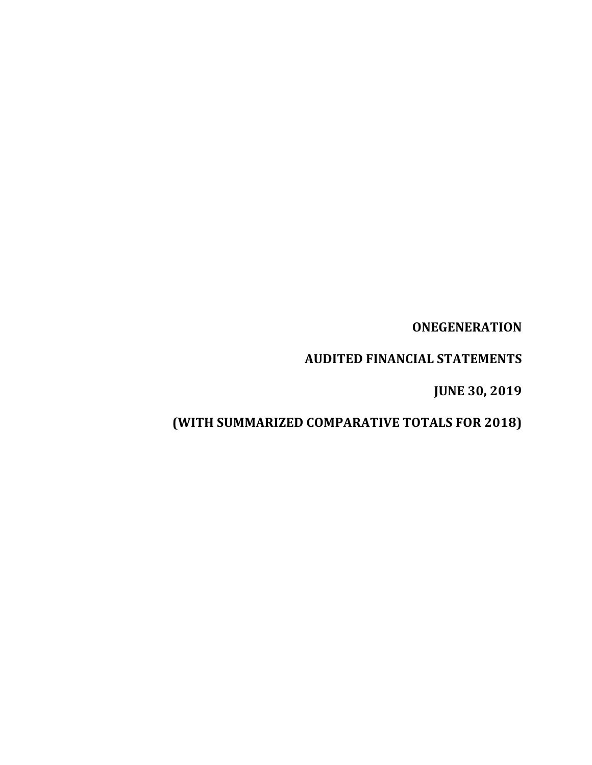**ONEGENERATION**

**AUDITED FINANCIAL STATEMENTS**

**JUNE 30, 2019**

**(WITH SUMMARIZED COMPARATIVE TOTALS FOR 2018)**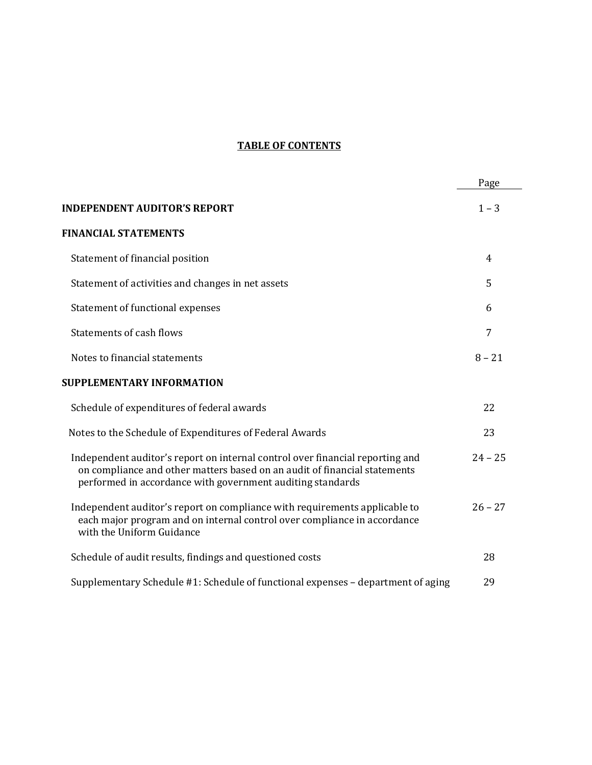# **TABLE OF CONTENTS**

|                                                                                                                                                                                                                          | Page      |
|--------------------------------------------------------------------------------------------------------------------------------------------------------------------------------------------------------------------------|-----------|
| <b>INDEPENDENT AUDITOR'S REPORT</b>                                                                                                                                                                                      | $1 - 3$   |
| <b>FINANCIAL STATEMENTS</b>                                                                                                                                                                                              |           |
| Statement of financial position                                                                                                                                                                                          | 4         |
| Statement of activities and changes in net assets                                                                                                                                                                        | 5         |
| Statement of functional expenses                                                                                                                                                                                         | 6         |
| Statements of cash flows                                                                                                                                                                                                 | 7         |
| Notes to financial statements                                                                                                                                                                                            | $8 - 21$  |
| SUPPLEMENTARY INFORMATION                                                                                                                                                                                                |           |
| Schedule of expenditures of federal awards                                                                                                                                                                               | 22        |
| Notes to the Schedule of Expenditures of Federal Awards                                                                                                                                                                  | 23        |
| Independent auditor's report on internal control over financial reporting and<br>on compliance and other matters based on an audit of financial statements<br>performed in accordance with government auditing standards | $24 - 25$ |
| Independent auditor's report on compliance with requirements applicable to<br>each major program and on internal control over compliance in accordance<br>with the Uniform Guidance                                      | $26 - 27$ |
| Schedule of audit results, findings and questioned costs                                                                                                                                                                 | 28        |
| Supplementary Schedule #1: Schedule of functional expenses - department of aging                                                                                                                                         | 29        |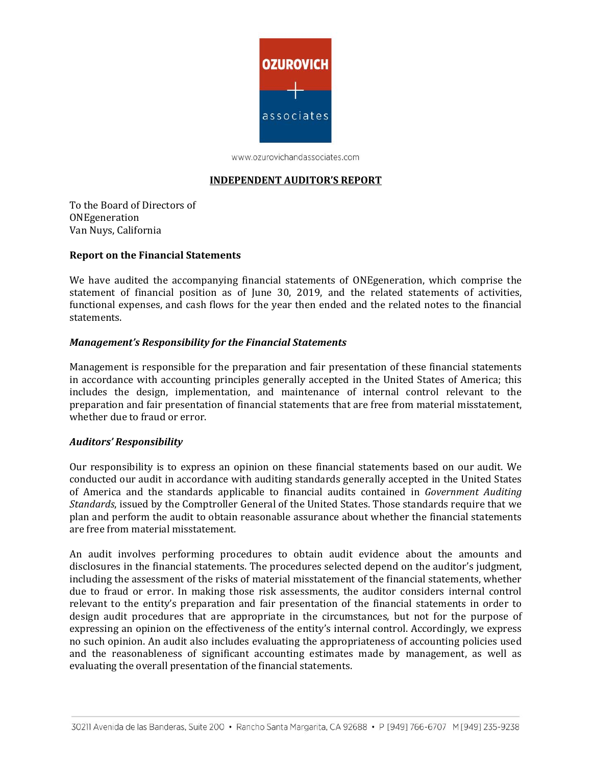

www.ozurovichandassociates.com

# **INDEPENDENT AUDITOR'S REPORT**

To the Board of Directors of **ONEgeneration** Van Nuys, California

## **Report on the Financial Statements**

We have audited the accompanying financial statements of ONEgeneration, which comprise the statement of financial position as of June 30, 2019, and the related statements of activities, functional expenses, and cash flows for the year then ended and the related notes to the financial statements.

## *Management's Responsibility for the Financial Statements*

Management is responsible for the preparation and fair presentation of these financial statements in accordance with accounting principles generally accepted in the United States of America; this includes the design, implementation, and maintenance of internal control relevant to the preparation and fair presentation of financial statements that are free from material misstatement, whether due to fraud or error.

## *Auditors' Responsibility*

Our responsibility is to express an opinion on these financial statements based on our audit. We conducted our audit in accordance with auditing standards generally accepted in the United States of America and the standards applicable to financial audits contained in *Government Auditing Standards*, issued by the Comptroller General of the United States. Those standards require that we plan and perform the audit to obtain reasonable assurance about whether the financial statements are free from material misstatement.

An audit involves performing procedures to obtain audit evidence about the amounts and disclosures in the financial statements. The procedures selected depend on the auditor's judgment, including the assessment of the risks of material misstatement of the financial statements, whether due to fraud or error. In making those risk assessments, the auditor considers internal control relevant to the entity's preparation and fair presentation of the financial statements in order to design audit procedures that are appropriate in the circumstances, but not for the purpose of expressing an opinion on the effectiveness of the entity's internal control. Accordingly, we express no such opinion. An audit also includes evaluating the appropriateness of accounting policies used and the reasonableness of significant accounting estimates made by management, as well as evaluating the overall presentation of the financial statements.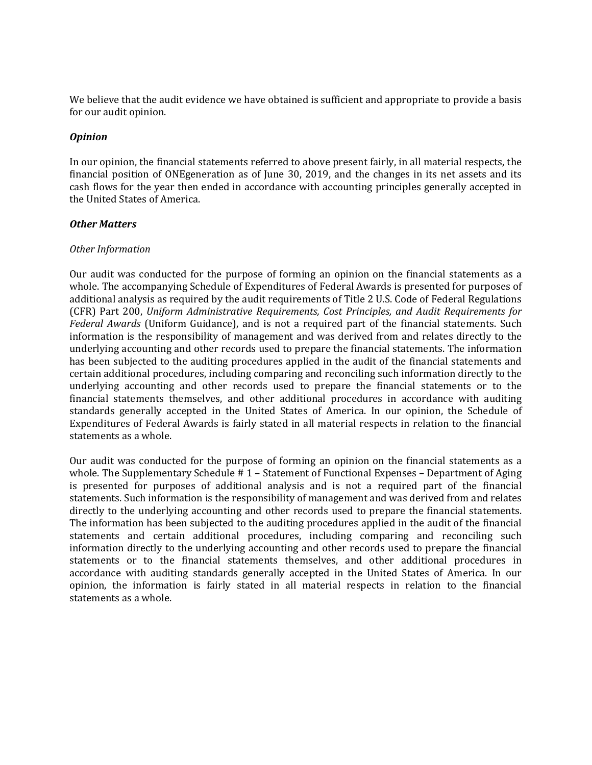We believe that the audit evidence we have obtained is sufficient and appropriate to provide a basis for our audit opinion.

## *Opinion*

In our opinion, the financial statements referred to above present fairly, in all material respects, the financial position of ONEgeneration as of June 30, 2019, and the changes in its net assets and its cash flows for the year then ended in accordance with accounting principles generally accepted in the United States of America.

#### *Other Matters*

#### *Other Information*

Our audit was conducted for the purpose of forming an opinion on the financial statements as a whole. The accompanying Schedule of Expenditures of Federal Awards is presented for purposes of additional analysis as required by the audit requirements of Title 2 U.S. Code of Federal Regulations (CFR) Part 200, *Uniform Administrative Requirements, Cost Principles, and Audit Requirements for Federal Awards* (Uniform Guidance), and is not a required part of the financial statements. Such information is the responsibility of management and was derived from and relates directly to the underlying accounting and other records used to prepare the financial statements. The information has been subjected to the auditing procedures applied in the audit of the financial statements and certain additional procedures, including comparing and reconciling such information directly to the underlying accounting and other records used to prepare the financial statements or to the financial statements themselves, and other additional procedures in accordance with auditing standards generally accepted in the United States of America. In our opinion, the Schedule of Expenditures of Federal Awards is fairly stated in all material respects in relation to the financial statements as a whole.

Our audit was conducted for the purpose of forming an opinion on the financial statements as a whole. The Supplementary Schedule  $# 1 -$  Statement of Functional Expenses – Department of Aging is presented for purposes of additional analysis and is not a required part of the financial statements. Such information is the responsibility of management and was derived from and relates directly to the underlying accounting and other records used to prepare the financial statements. The information has been subjected to the auditing procedures applied in the audit of the financial statements and certain additional procedures, including comparing and reconciling such information directly to the underlying accounting and other records used to prepare the financial statements or to the financial statements themselves, and other additional procedures in accordance with auditing standards generally accepted in the United States of America. In our opinion, the information is fairly stated in all material respects in relation to the financial statements as a whole.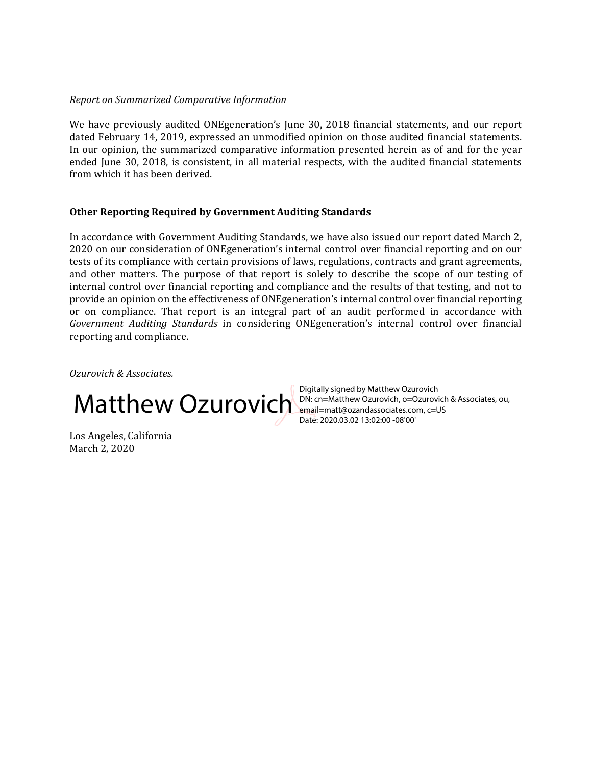#### *Report on Summarized Comparative Information*

We have previously audited ONEgeneration's June 30, 2018 financial statements, and our report dated February 14, 2019, expressed an unmodified opinion on those audited financial statements. In our opinion, the summarized comparative information presented herein as of and for the year ended June 30, 2018, is consistent, in all material respects, with the audited financial statements from which it has been derived.

## **Other Reporting Required by Government Auditing Standards**

In accordance with Government Auditing Standards, we have also issued our report dated March 2, 2020 on our consideration of ONEgeneration's internal control over financial reporting and on our tests of its compliance with certain provisions of laws, regulations, contracts and grant agreements, and other matters. The purpose of that report is solely to describe the scope of our testing of internal control over financial reporting and compliance and the results of that testing, and not to provide an opinion on the effectiveness of ONEgeneration's internal control over financial reporting or on compliance. That report is an integral part of an audit performed in accordance with *Government Auditing Standards* in considering ONEgeneration's internal control over financial reporting and compliance.

*Ozurovich & Associates.*

Matthew Ozurovich Digitally signed by Matthew Ozurovich<br>
Matthew Ozurovich, o=Ozurovich, o=Ozurovich, c=U<br>
Matthew Ozurovich, c=U<br>
Matthew Ozurovich, c=U<br>
Matthew Ozurovich, c=U<br>
Matthew Ozurovich, c=U<br>
Matthew Ozurovich,

DN: cn=Matthew Ozurovich, o=Ozurovich & Associates, ou, email=matt@ozandassociates.com, c=US Date: 2020.03.02 13:02:00 -08'00'

Los Angeles, California March 2, 2020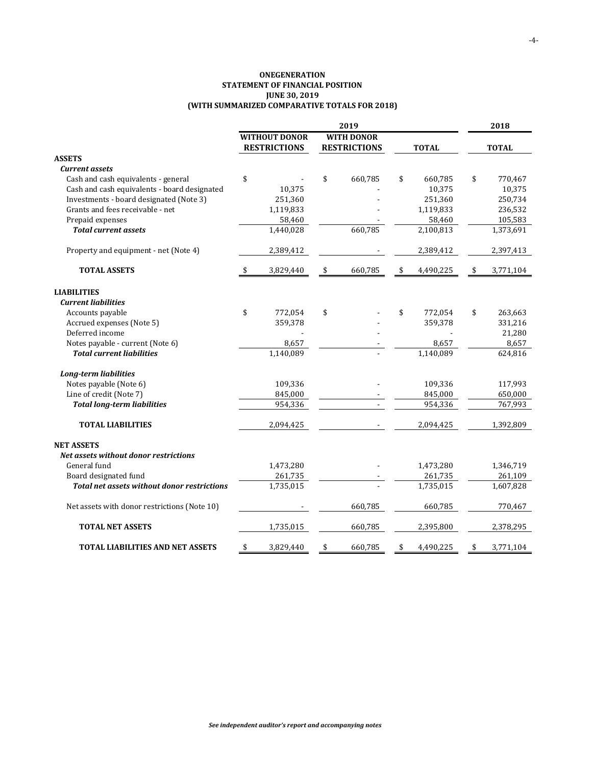#### **ONEGENERATION STATEMENT OF FINANCIAL POSITION JUNE 30, 2019 (WITH SUMMARIZED COMPARATIVE TOTALS FOR 2018)**

|                                                    | 2019                |                      |                     |                   |              |           | 2018            |
|----------------------------------------------------|---------------------|----------------------|---------------------|-------------------|--------------|-----------|-----------------|
|                                                    |                     | <b>WITHOUT DONOR</b> |                     | <b>WITH DONOR</b> |              |           |                 |
|                                                    | <b>RESTRICTIONS</b> |                      | <b>RESTRICTIONS</b> |                   | <b>TOTAL</b> |           | <b>TOTAL</b>    |
| <b>ASSETS</b>                                      |                     |                      |                     |                   |              |           |                 |
| <b>Current assets</b>                              |                     |                      |                     |                   |              |           |                 |
| Cash and cash equivalents - general                | \$                  |                      | \$                  | 660,785           | \$           | 660,785   | \$<br>770,467   |
| Cash and cash equivalents - board designated       |                     | 10,375               |                     |                   |              | 10,375    | 10,375          |
| Investments - board designated (Note 3)            |                     | 251,360              |                     |                   |              | 251,360   | 250,734         |
| Grants and fees receivable - net                   |                     | 1,119,833            |                     |                   |              | 1,119,833 | 236,532         |
| Prepaid expenses                                   |                     | 58,460               |                     |                   |              | 58,460    | 105,583         |
| <b>Total current assets</b>                        |                     | 1,440,028            |                     | 660,785           |              | 2,100,813 | 1,373,691       |
| Property and equipment - net (Note 4)              |                     | 2,389,412            |                     |                   |              | 2,389,412 | 2,397,413       |
| <b>TOTAL ASSETS</b>                                |                     | 3,829,440            | \$                  | 660,785           | $\sqrt{2}$   | 4,490,225 | \$<br>3,771,104 |
| <b>LIABILITIES</b>                                 |                     |                      |                     |                   |              |           |                 |
| <b>Current liabilities</b>                         |                     |                      |                     |                   |              |           |                 |
| Accounts payable                                   | \$                  | 772,054              | \$                  |                   | \$           | 772,054   | \$<br>263,663   |
| Accrued expenses (Note 5)                          |                     | 359,378              |                     |                   |              | 359,378   | 331,216         |
| Deferred income                                    |                     |                      |                     |                   |              |           | 21,280          |
| Notes payable - current (Note 6)                   |                     | 8,657                |                     |                   |              | 8,657     | 8,657           |
| <b>Total current liabilities</b>                   |                     | 1,140,089            |                     |                   |              | 1,140,089 | 624,816         |
| Long-term liabilities                              |                     |                      |                     |                   |              |           |                 |
| Notes payable (Note 6)                             |                     | 109,336              |                     |                   |              | 109,336   | 117,993         |
| Line of credit (Note 7)                            |                     | 845,000              |                     |                   |              | 845,000   | 650,000         |
| <b>Total long-term liabilities</b>                 |                     | 954,336              |                     |                   |              | 954,336   | 767,993         |
| <b>TOTAL LIABILITIES</b>                           |                     | 2,094,425            |                     |                   |              | 2,094,425 | 1,392,809       |
| <b>NET ASSETS</b>                                  |                     |                      |                     |                   |              |           |                 |
| <b>Net assets without donor restrictions</b>       |                     |                      |                     |                   |              |           |                 |
| General fund                                       |                     | 1,473,280            |                     |                   |              | 1,473,280 | 1,346,719       |
| Board designated fund                              |                     | 261,735              |                     |                   |              | 261,735   | 261,109         |
| <b>Total net assets without donor restrictions</b> |                     | 1,735,015            |                     |                   |              | 1,735,015 | 1,607,828       |
| Net assets with donor restrictions (Note 10)       |                     |                      |                     | 660,785           |              | 660,785   | 770,467         |
| <b>TOTAL NET ASSETS</b>                            |                     | 1,735,015            |                     | 660,785           |              | 2,395,800 | 2,378,295       |
| TOTAL LIABILITIES AND NET ASSETS                   | \$                  | 3,829,440            | \$                  | 660,785           | \$           | 4,490,225 | \$<br>3,771,104 |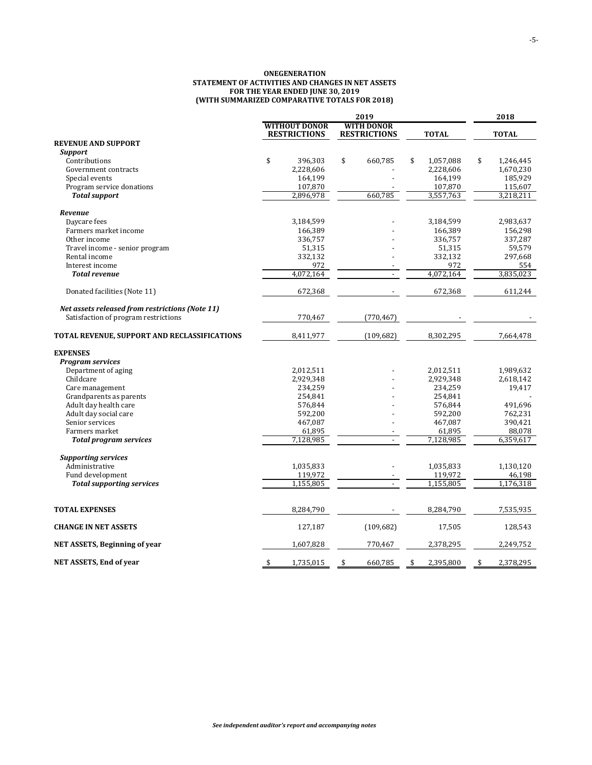#### **(WITH SUMMARIZED COMPARATIVE TOTALS FOR 2018) FOR THE YEAR ENDED JUNE 30, 2019 STATEMENT OF ACTIVITIES AND CHANGES IN NET ASSETS ONEGENERATION**

|                                                 | 2019 |                                             |    |                                          |    | 2018         |    |              |
|-------------------------------------------------|------|---------------------------------------------|----|------------------------------------------|----|--------------|----|--------------|
|                                                 |      | <b>WITHOUT DONOR</b><br><b>RESTRICTIONS</b> |    | <b>WITH DONOR</b><br><b>RESTRICTIONS</b> |    | <b>TOTAL</b> |    | <b>TOTAL</b> |
| <b>REVENUE AND SUPPORT</b>                      |      |                                             |    |                                          |    |              |    |              |
| <b>Support</b>                                  |      |                                             |    |                                          |    |              |    |              |
| Contributions                                   | \$   | 396,303                                     | \$ | 660,785                                  | \$ | 1,057,088    | \$ | 1,246,445    |
| Government contracts                            |      | 2,228,606                                   |    |                                          |    | 2,228,606    |    | 1,670,230    |
| Special events                                  |      | 164,199                                     |    |                                          |    | 164,199      |    | 185,929      |
| Program service donations                       |      | 107,870                                     |    |                                          |    | 107,870      |    | 115,607      |
| <b>Total support</b>                            |      | 2,896,978                                   |    | 660.785                                  |    | 3,557,763    |    | 3,218,211    |
| Revenue                                         |      |                                             |    |                                          |    |              |    |              |
| Daycare fees                                    |      | 3,184,599                                   |    |                                          |    | 3,184,599    |    | 2,983,637    |
| Farmers market income                           |      | 166,389                                     |    |                                          |    | 166,389      |    | 156,298      |
| Other income                                    |      | 336,757                                     |    |                                          |    | 336,757      |    | 337,287      |
| Travel income - senior program                  |      | 51,315                                      |    |                                          |    | 51,315       |    | 59,579       |
| Rental income                                   |      | 332,132                                     |    |                                          |    | 332,132      |    | 297,668      |
| Interest income                                 |      | 972                                         |    |                                          |    | 972          |    | 554          |
| <b>Total revenue</b>                            |      | 4,072,164                                   |    |                                          |    | 4,072,164    |    | 3,835,023    |
|                                                 |      |                                             |    |                                          |    |              |    |              |
| Donated facilities (Note 11)                    |      | 672,368                                     |    |                                          |    | 672,368      |    | 611,244      |
| Net assets released from restrictions (Note 11) |      |                                             |    |                                          |    |              |    |              |
| Satisfaction of program restrictions            |      | 770,467                                     |    | (770, 467)                               |    |              |    |              |
| TOTAL REVENUE, SUPPORT AND RECLASSIFICATIONS    |      | 8,411,977                                   |    | (109, 682)                               |    | 8,302,295    |    | 7,664,478    |
| <b>EXPENSES</b>                                 |      |                                             |    |                                          |    |              |    |              |
| <b>Program services</b>                         |      |                                             |    |                                          |    |              |    |              |
| Department of aging                             |      | 2,012,511                                   |    |                                          |    | 2,012,511    |    | 1,989,632    |
| Childcare                                       |      | 2,929,348                                   |    |                                          |    | 2,929,348    |    | 2,618,142    |
| Care management                                 |      | 234,259                                     |    |                                          |    | 234,259      |    | 19,417       |
| Grandparents as parents                         |      | 254,841                                     |    |                                          |    | 254,841      |    |              |
| Adult day health care                           |      | 576,844                                     |    |                                          |    | 576,844      |    | 491,696      |
| Adult day social care                           |      | 592,200                                     |    |                                          |    | 592,200      |    | 762,231      |
| Senior services                                 |      | 467,087                                     |    |                                          |    | 467,087      |    | 390,421      |
| Farmers market                                  |      | 61,895                                      |    |                                          |    | 61,895       |    | 88,078       |
| <b>Total program services</b>                   |      | 7,128,985                                   |    |                                          |    | 7,128,985    |    | 6,359,617    |
|                                                 |      |                                             |    |                                          |    |              |    |              |
| <b>Supporting services</b>                      |      |                                             |    |                                          |    |              |    |              |
| Administrative                                  |      | 1,035,833                                   |    |                                          |    | 1,035,833    |    | 1,130,120    |
| Fund development                                |      | 119,972                                     |    |                                          |    | 119,972      |    | 46,198       |
| <b>Total supporting services</b>                |      | 1,155,805                                   |    | $\overline{a}$                           |    | 1,155,805    |    | 1,176,318    |
|                                                 |      |                                             |    |                                          |    |              |    |              |
| <b>TOTAL EXPENSES</b>                           |      | 8,284,790                                   |    |                                          |    | 8,284,790    |    | 7,535,935    |
| <b>CHANGE IN NET ASSETS</b>                     |      | 127,187                                     |    | (109, 682)                               |    | 17,505       |    | 128,543      |
| <b>NET ASSETS, Beginning of year</b>            |      | 1,607,828                                   |    | 770,467                                  |    | 2,378,295    |    | 2,249,752    |
| <b>NET ASSETS, End of year</b>                  | \$   | 1,735,015                                   | \$ | 660,785                                  | \$ | 2,395,800    | \$ | 2,378,295    |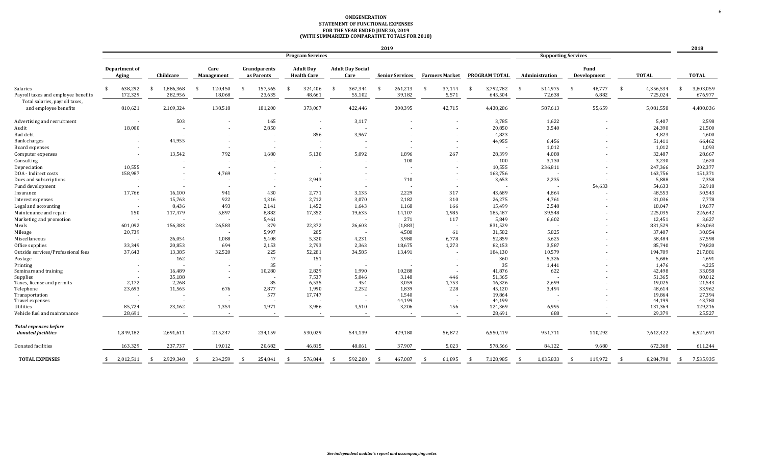#### **ONEGENERATION STATEMENT OF FUNCTIONAL EXPENSES FOR THE YEAR ENDED JUNE 30, 2019 (WITH SUMMARIZED COMPARATIVE TOTALS FOR 2018)**

|                                                         |                           |                            |                    |                            |                                        |                                 | 2019                     |                       |                             |                                 |                            |                                       | 2018                 |
|---------------------------------------------------------|---------------------------|----------------------------|--------------------|----------------------------|----------------------------------------|---------------------------------|--------------------------|-----------------------|-----------------------------|---------------------------------|----------------------------|---------------------------------------|----------------------|
|                                                         |                           |                            |                    |                            | <b>Program Services</b>                |                                 |                          |                       |                             |                                 | <b>Supporting Services</b> |                                       |                      |
|                                                         | Department of<br>Aging    | Childcare                  | Care<br>Management | Grandparents<br>as Parents | <b>Adult Day</b><br><b>Health Care</b> | <b>Adult Day Social</b><br>Care | <b>Senior Services</b>   | Farmers Market        | PROGRAM TOTAL               | Administration                  | Fund<br>Development        | <b>TOTAL</b>                          | <b>TOTAL</b>         |
| Salaries<br>Payroll taxes and employee benefits         | 638,292<br>-\$<br>172,329 | 1,886,368<br>\$<br>282,956 | 120,450<br>18,068  | 157,565<br>-\$<br>23,635   | 324,406<br>-\$<br>48,661               | 367,344<br>- \$<br>55,102       | 261,213<br>-\$<br>39,182 | 37,144<br>\$<br>5,571 | 3,792,782<br>-\$<br>645,504 | 514,975<br>$\sqrt{3}$<br>72,638 | 48,777<br>-\$<br>6,882     | 4,356,534<br>$\mathsf{\$}$<br>725,024 | 3,803,059<br>676,977 |
| Total salaries, payroll taxes,<br>and employee benefits | 810,621                   | 2,169,324                  | 138,518            | 181,200                    | 373,067                                | 422,446                         | 300,395                  | 42,715                | 4,438,286                   | 587,613                         | 55,659                     | 5,081,558                             | 4,480,036            |
| Advertising and recruitment                             |                           | 503                        |                    | 165                        | $\overline{\phantom{a}}$               | 3,117                           |                          |                       | 3,785                       | 1,622                           |                            | 5,407                                 | 2,598                |
| Audit                                                   | 18,000                    |                            |                    | 2,850                      | $\overline{\phantom{a}}$               |                                 |                          |                       | 20,850                      | 3,540                           |                            | 24,390                                | 21,500               |
| Bad debt                                                |                           |                            |                    |                            | 856                                    | 3,967                           |                          |                       | 4,823                       |                                 |                            | 4,823                                 | 4,600                |
| <b>Bank charges</b>                                     |                           | 44,955                     |                    |                            | $\overline{\phantom{a}}$               |                                 |                          |                       | 44,955                      | 6,456                           |                            | 51,411                                | 66,462               |
| Board expenses                                          |                           |                            |                    |                            | $\overline{\phantom{a}}$               |                                 |                          |                       |                             | 1,012                           |                            | 1,012                                 | 1,093                |
| Computer expenses                                       |                           | 13,542                     | 792                | 1,680                      | 5,130                                  | 5,092                           | 1,896                    | 267                   | 28,399                      | 4,088                           |                            | 32,487                                | 28,667               |
| Consulting                                              |                           |                            |                    |                            | $\overline{\phantom{a}}$               |                                 | 100                      |                       | 100                         | 3,130                           |                            | 3,230                                 | 2,620                |
| Depreciation                                            | 10,555                    |                            |                    |                            |                                        |                                 |                          |                       | 10,555                      | 236,811                         |                            | 247,366                               | 202,377              |
| DOA - Indirect costs                                    | 158,987                   |                            | 4,769              |                            |                                        |                                 | $\overline{\phantom{a}}$ |                       | 163,756                     |                                 |                            | 163,756                               | 151,371              |
| Dues and subscriptions                                  |                           |                            |                    |                            | 2,943                                  |                                 | 710                      |                       | 3,653                       | 2,235                           |                            | 5,888                                 | 7,358                |
| Fund development                                        |                           |                            |                    |                            |                                        |                                 |                          |                       |                             |                                 | 54,633                     | 54,633                                | 32,918               |
| Insurance                                               | 17,766                    | 16,100                     | 941                | 430                        | 2,771                                  | 3,135                           | 2,229                    | 317                   | 43,689                      | 4,864                           |                            | 48,553                                | 50,543               |
| Interest expenses                                       | $\overline{\phantom{a}}$  | 15,763                     | 922                | 1,316                      | 2,712                                  | 3,070                           | 2,182                    | 310                   | 26,275                      | 4,761                           |                            | 31,036                                | 7,778                |
| Legal and accounting                                    |                           | 8,436                      | 493                | 2,141                      | 1,452                                  | 1,643                           | 1,168                    | 166                   | 15,499                      | 2,548                           |                            | 18,047                                | 19,677               |
| Maintenance and repair                                  | 150                       | 117,479                    | 5,897              | 8,882                      | 17,352                                 | 19,635                          | 14,107                   | 1,985                 | 185,487                     | 39,548                          |                            | 225,035                               | 226,642              |
| Marketing and promotion                                 |                           |                            |                    | 5,461                      |                                        |                                 | 271                      | 117                   | 5,849                       | 6,602                           |                            | 12,451                                | 3,627                |
| Meals                                                   | 601,092                   | 156,383                    | 26,583             | 379                        | 22,372                                 | 26,603                          | (1,883)                  | $\sim$                | 831,529                     |                                 |                            | 831,529                               | 826,063              |
| Mileage                                                 | 20,739                    |                            |                    | 5,997                      | 205                                    |                                 | 4,580                    | 61                    | 31,582                      | 5,825                           |                            | 37,407                                | 30,054               |
| Miscellaneous                                           |                           | 26,054                     | 1,088              | 5,408                      | 5,320                                  | 4,231                           |                          | 6,778                 |                             | 5,625                           |                            | 58,484                                | 57,598               |
|                                                         |                           |                            |                    |                            |                                        |                                 | 3,980                    |                       | 52,859                      |                                 |                            |                                       |                      |
| Office supplies                                         | 33,349                    | 20,853                     | 694                | 2,153                      | 2,793                                  | 2,363                           | 18,675                   | 1,273                 | 82,153                      | 3,587                           |                            | 85,740                                | 79,820               |
| Outside services/Professional fees                      | 37,643                    | 13,385                     | 32,520             | 225                        | 52,281                                 | 34,585                          | 13,491                   |                       | 184,130                     | 10,579                          |                            | 194,709                               | 217,881              |
| Postage                                                 |                           | 162                        |                    | 47                         | 151                                    |                                 |                          |                       | 360                         | 5,326                           |                            | 5,686                                 | 4,691                |
| Printing                                                |                           |                            |                    | 35                         |                                        |                                 |                          |                       | 35                          | 1,441                           |                            | 1,476                                 | 4,225                |
| Seminars and training                                   |                           | 16,489                     |                    | 10,280                     | 2,829                                  | 1,990                           | 10,288                   |                       | 41,876                      | 622                             |                            | 42,498                                | 33,058               |
| Supplies                                                | 2,172                     | 35,188<br>2,268            |                    | 85                         | 7,537<br>6,535                         | 5,046<br>454                    | 3,148<br>3,059           | 446<br>1,753          | 51,365<br>16,326            | 2,699                           |                            | 51,365<br>19,025                      | 80,012<br>21,543     |
| Taxes, license and permits<br>Telephone                 | 23,693                    | 11,565                     | 676                | 2,877                      | 1,990                                  | 2,252                           | 1,839                    | 228                   | 45,120                      | 3,494                           |                            | 48,614                                | 33,962               |
| Transportation                                          |                           |                            |                    | 577                        | 17,747                                 |                                 | 1,540                    |                       | 19,864                      |                                 |                            | 19,864                                | 27,394               |
| Travel expenses                                         |                           |                            |                    |                            |                                        |                                 | 44,199                   |                       | 44,199                      |                                 |                            | 44,199                                | 43,780               |
| Utilities                                               | 85,724                    | 23,162                     | 1,354              | 1,971                      | 3,986                                  | 4,510                           | 3,206                    | 456                   | 124,369                     | 6,995                           |                            | 131,364                               | 129,216              |
| Vehicle fuel and maintenance                            | 28,691                    |                            |                    |                            |                                        |                                 |                          |                       | 28,691                      | 688                             |                            | 29,379                                | 25,527               |
| Total expenses before                                   |                           |                            |                    |                            |                                        |                                 |                          |                       |                             |                                 |                            |                                       |                      |
| donated facilities                                      | 1,849,182                 | 2,691,611                  | 215,247            | 234,159                    | 530,029                                | 544,139                         | 429,180                  | 56,872                | 6,550,419                   | 951,711                         | 110,292                    | 7,612,422                             | 6,924,691            |
| Donated facilities                                      | 163,329                   | 237,737                    | 19,012             | 20,682                     | 46,815                                 | 48,061                          | 37,907                   | 5,023                 | 578,566                     | 84,122                          | 9,680                      | 672,368                               | 611,244              |
| <b>TOTAL EXPENSES</b>                                   | 2,012,511<br>- \$         | 2,929,348<br>- \$          | 234,259<br>- \$    | 254,841<br>- \$            | 576,844<br>- \$                        | 592,200<br>- \$                 | 467,087<br>-\$           | 61,895<br>-S          | 7,128,985                   | 1,035,833<br>- \$               | 119,972<br>- \$            | 8,284,790                             | 7,535,935<br>- \$    |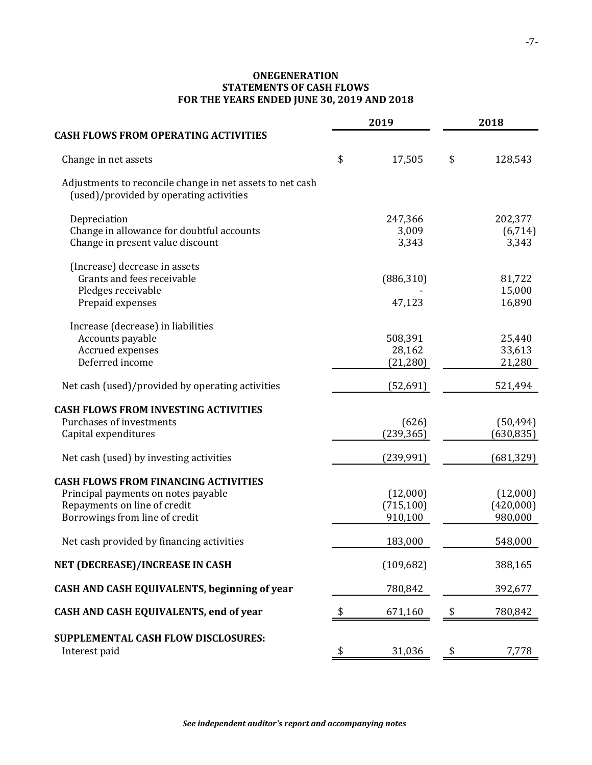# **FOR THE YEARS ENDED JUNE 30, 2019 AND 2018 STATEMENTS OF CASH FLOWS ONEGENERATION**

|                                                                                                                                                      | 2019                              | 2018 |                                  |  |
|------------------------------------------------------------------------------------------------------------------------------------------------------|-----------------------------------|------|----------------------------------|--|
| <b>CASH FLOWS FROM OPERATING ACTIVITIES</b>                                                                                                          |                                   |      |                                  |  |
| Change in net assets                                                                                                                                 | \$<br>17,505                      | \$   | 128,543                          |  |
| Adjustments to reconcile change in net assets to net cash<br>(used)/provided by operating activities                                                 |                                   |      |                                  |  |
| Depreciation<br>Change in allowance for doubtful accounts<br>Change in present value discount                                                        | 247,366<br>3,009<br>3,343         |      | 202,377<br>(6, 714)<br>3,343     |  |
| (Increase) decrease in assets<br>Grants and fees receivable<br>Pledges receivable<br>Prepaid expenses                                                | (886, 310)<br>47,123              |      | 81,722<br>15,000<br>16,890       |  |
| Increase (decrease) in liabilities<br>Accounts payable<br>Accrued expenses<br>Deferred income                                                        | 508,391<br>28,162<br>(21, 280)    |      | 25,440<br>33,613<br>21,280       |  |
| Net cash (used)/provided by operating activities                                                                                                     | (52, 691)                         |      | 521,494                          |  |
| <b>CASH FLOWS FROM INVESTING ACTIVITIES</b><br>Purchases of investments<br>Capital expenditures                                                      | (626)<br>(239, 365)               |      | (50, 494)<br>(630, 835)          |  |
| Net cash (used) by investing activities                                                                                                              | (239,991)                         |      | (681,329)                        |  |
| <b>CASH FLOWS FROM FINANCING ACTIVITIES</b><br>Principal payments on notes payable<br>Repayments on line of credit<br>Borrowings from line of credit | (12,000)<br>(715, 100)<br>910,100 |      | (12,000)<br>(420,000)<br>980,000 |  |
| Net cash provided by financing activities                                                                                                            | 183,000                           |      | 548,000                          |  |
| NET (DECREASE)/INCREASE IN CASH                                                                                                                      | (109, 682)                        |      | 388,165                          |  |
| CASH AND CASH EQUIVALENTS, beginning of year                                                                                                         | 780,842                           |      | 392,677                          |  |
| CASH AND CASH EQUIVALENTS, end of year                                                                                                               | \$<br>671,160                     | \$   | 780,842                          |  |
| SUPPLEMENTAL CASH FLOW DISCLOSURES:<br>Interest paid                                                                                                 | 31,036                            |      | 7,778                            |  |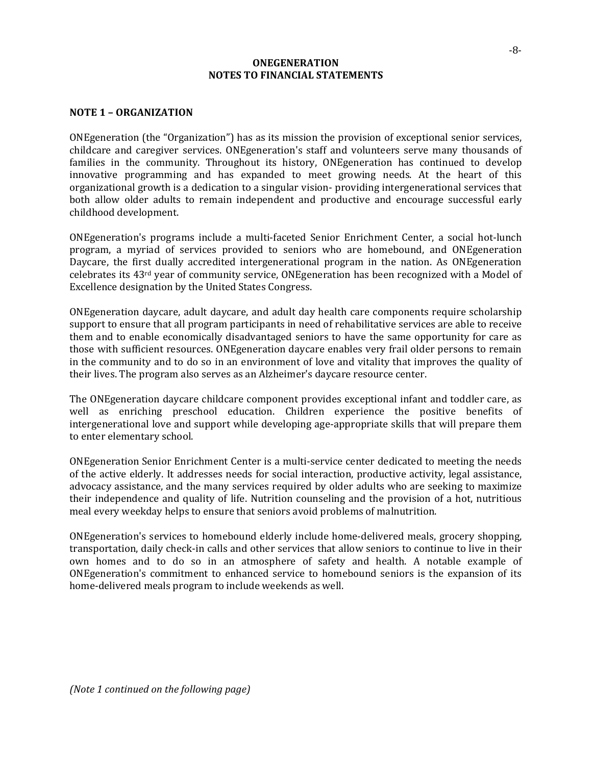#### **NOTE 1 – ORGANIZATION**

ONEgeneration (the "Organization") has as its mission the provision of exceptional senior services, childcare and caregiver services. ONEgeneration's staff and volunteers serve many thousands of families in the community. Throughout its history, ONEgeneration has continued to develop innovative programming and has expanded to meet growing needs. At the heart of this organizational growth is a dedication to a singular vision- providing intergenerational services that both allow older adults to remain independent and productive and encourage successful early childhood development.

ONEgeneration's programs include a multi-faceted Senior Enrichment Center, a social hot-lunch program, a myriad of services provided to seniors who are homebound, and ONEgeneration Daycare, the first dually accredited intergenerational program in the nation. As ONEgeneration celebrates its 43rd year of community service, ONEgeneration has been recognized with a Model of Excellence designation by the United States Congress.

ONEgeneration daycare, adult daycare, and adult day health care components require scholarship support to ensure that all program participants in need of rehabilitative services are able to receive them and to enable economically disadvantaged seniors to have the same opportunity for care as those with sufficient resources. ONEgeneration daycare enables very frail older persons to remain in the community and to do so in an environment of love and vitality that improves the quality of their lives. The program also serves as an Alzheimer's daycare resource center.

The ONEgeneration daycare childcare component provides exceptional infant and toddler care, as well as enriching preschool education. Children experience the positive benefits of intergenerational love and support while developing age-appropriate skills that will prepare them to enter elementary school.

ONEgeneration Senior Enrichment Center is a multi-service center dedicated to meeting the needs of the active elderly. It addresses needs for social interaction, productive activity, legal assistance, advocacy assistance, and the many services required by older adults who are seeking to maximize their independence and quality of life. Nutrition counseling and the provision of a hot, nutritious meal every weekday helps to ensure that seniors avoid problems of malnutrition.

ONEgeneration's services to homebound elderly include home-delivered meals, grocery shopping, transportation, daily check-in calls and other services that allow seniors to continue to live in their own homes and to do so in an atmosphere of safety and health. A notable example of ONEgeneration's commitment to enhanced service to homebound seniors is the expansion of its home-delivered meals program to include weekends as well.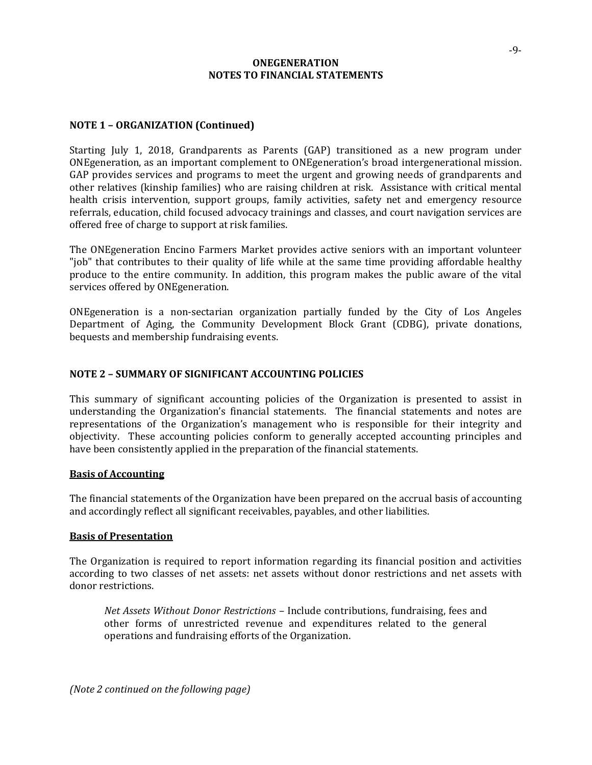#### **NOTE 1 – ORGANIZATION (Continued)**

Starting July 1, 2018, Grandparents as Parents (GAP) transitioned as a new program under ONEgeneration, as an important complement to ONEgeneration's broad intergenerational mission. GAP provides services and programs to meet the urgent and growing needs of grandparents and other relatives (kinship families) who are raising children at risk. Assistance with critical mental health crisis intervention, support groups, family activities, safety net and emergency resource referrals, education, child focused advocacy trainings and classes, and court navigation services are offered free of charge to support at risk families.

The ONEgeneration Encino Farmers Market provides active seniors with an important volunteer "job" that contributes to their quality of life while at the same time providing affordable healthy produce to the entire community. In addition, this program makes the public aware of the vital services offered by ONEgeneration.

ONEgeneration is a non-sectarian organization partially funded by the City of Los Angeles Department of Aging, the Community Development Block Grant (CDBG), private donations, bequests and membership fundraising events.

#### **NOTE 2 – SUMMARY OF SIGNIFICANT ACCOUNTING POLICIES**

This summary of significant accounting policies of the Organization is presented to assist in understanding the Organization's financial statements. The financial statements and notes are representations of the Organization's management who is responsible for their integrity and objectivity. These accounting policies conform to generally accepted accounting principles and have been consistently applied in the preparation of the financial statements.

#### **Basis of Accounting**

The financial statements of the Organization have been prepared on the accrual basis of accounting and accordingly reflect all significant receivables, payables, and other liabilities.

#### **Basis of Presentation**

The Organization is required to report information regarding its financial position and activities according to two classes of net assets: net assets without donor restrictions and net assets with donor restrictions.

*Net Assets Without Donor Restrictions –* Include contributions, fundraising, fees and other forms of unrestricted revenue and expenditures related to the general operations and fundraising efforts of the Organization.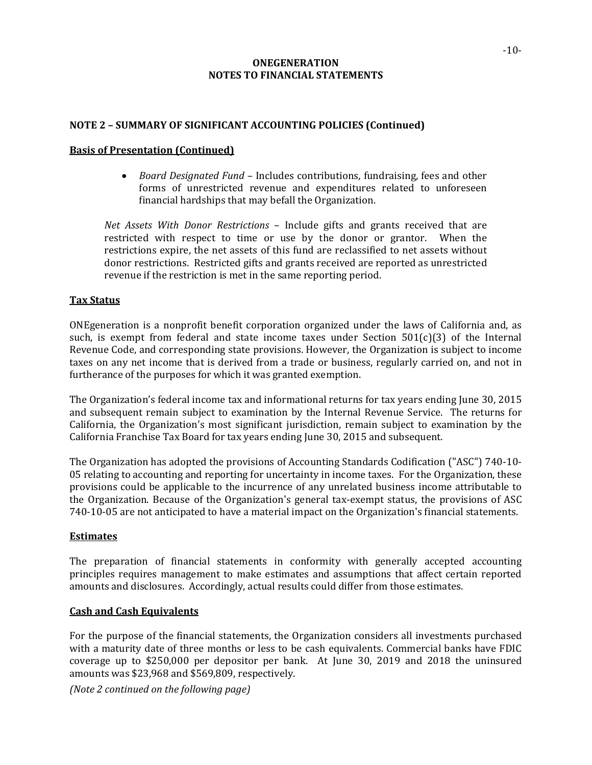## **NOTE 2 – SUMMARY OF SIGNIFICANT ACCOUNTING POLICIES (Continued)**

#### **Basis of Presentation (Continued)**

 *Board Designated Fund –* Includes contributions, fundraising, fees and other forms of unrestricted revenue and expenditures related to unforeseen financial hardships that may befall the Organization.

*Net Assets With Donor Restrictions* – Include gifts and grants received that are restricted with respect to time or use by the donor or grantor. When the restrictions expire, the net assets of this fund are reclassified to net assets without donor restrictions. Restricted gifts and grants received are reported as unrestricted revenue if the restriction is met in the same reporting period.

#### **Tax Status**

ONEgeneration is a nonprofit benefit corporation organized under the laws of California and, as such, is exempt from federal and state income taxes under Section  $501(c)(3)$  of the Internal Revenue Code, and corresponding state provisions. However, the Organization is subject to income taxes on any net income that is derived from a trade or business, regularly carried on, and not in furtherance of the purposes for which it was granted exemption.

The Organization's federal income tax and informational returns for tax years ending June 30, 2015 and subsequent remain subject to examination by the Internal Revenue Service. The returns for California, the Organization's most significant jurisdiction, remain subject to examination by the California Franchise Tax Board for tax years ending June 30, 2015 and subsequent.

The Organization has adopted the provisions of Accounting Standards Codification ("ASC") 740-10- 05 relating to accounting and reporting for uncertainty in income taxes. For the Organization, these provisions could be applicable to the incurrence of any unrelated business income attributable to the Organization. Because of the Organization's general tax-exempt status, the provisions of ASC 740-10-05 are not anticipated to have a material impact on the Organization's financial statements.

#### **Estimates**

The preparation of financial statements in conformity with generally accepted accounting principles requires management to make estimates and assumptions that affect certain reported amounts and disclosures. Accordingly, actual results could differ from those estimates.

#### **Cash and Cash Equivalents**

For the purpose of the financial statements, the Organization considers all investments purchased with a maturity date of three months or less to be cash equivalents. Commercial banks have FDIC coverage up to \$250,000 per depositor per bank. At June 30, 2019 and 2018 the uninsured amounts was \$23,968 and \$569,809, respectively.

*(Note 2 continued on the following page)*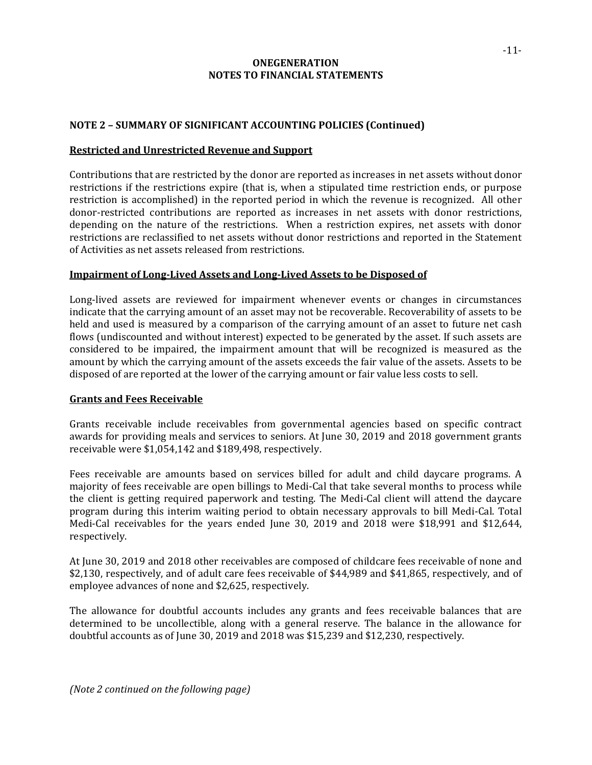## **NOTE 2 – SUMMARY OF SIGNIFICANT ACCOUNTING POLICIES (Continued)**

#### **Restricted and Unrestricted Revenue and Support**

Contributions that are restricted by the donor are reported as increases in net assets without donor restrictions if the restrictions expire (that is, when a stipulated time restriction ends, or purpose restriction is accomplished) in the reported period in which the revenue is recognized. All other donor-restricted contributions are reported as increases in net assets with donor restrictions, depending on the nature of the restrictions. When a restriction expires, net assets with donor restrictions are reclassified to net assets without donor restrictions and reported in the Statement of Activities as net assets released from restrictions.

## **Impairment of Long‐Lived Assets and Long‐Lived Assets to be Disposed of**

Long-lived assets are reviewed for impairment whenever events or changes in circumstances indicate that the carrying amount of an asset may not be recoverable. Recoverability of assets to be held and used is measured by a comparison of the carrying amount of an asset to future net cash flows (undiscounted and without interest) expected to be generated by the asset. If such assets are considered to be impaired, the impairment amount that will be recognized is measured as the amount by which the carrying amount of the assets exceeds the fair value of the assets. Assets to be disposed of are reported at the lower of the carrying amount or fair value less costs to sell.

## **Grants and Fees Receivable**

Grants receivable include receivables from governmental agencies based on specific contract awards for providing meals and services to seniors. At June 30, 2019 and 2018 government grants receivable were \$1,054,142 and \$189,498, respectively.

Fees receivable are amounts based on services billed for adult and child daycare programs. A majority of fees receivable are open billings to Medi-Cal that take several months to process while the client is getting required paperwork and testing. The Medi-Cal client will attend the daycare program during this interim waiting period to obtain necessary approvals to bill Medi-Cal. Total Medi-Cal receivables for the years ended June 30, 2019 and 2018 were \$18,991 and \$12,644, respectively.

At June 30, 2019 and 2018 other receivables are composed of childcare fees receivable of none and \$2,130, respectively, and of adult care fees receivable of \$44,989 and \$41,865, respectively, and of employee advances of none and \$2,625, respectively.

The allowance for doubtful accounts includes any grants and fees receivable balances that are determined to be uncollectible, along with a general reserve. The balance in the allowance for doubtful accounts as of June 30, 2019 and 2018 was \$15,239 and \$12,230, respectively.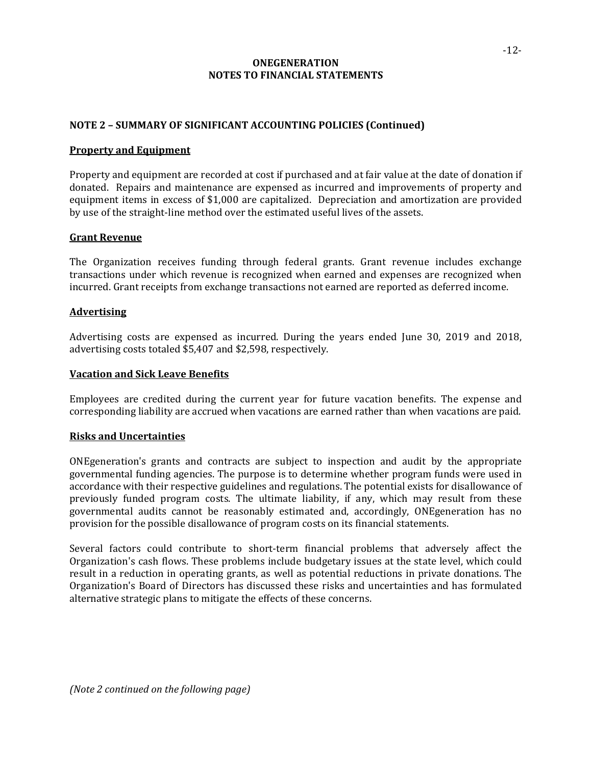## **NOTE 2 – SUMMARY OF SIGNIFICANT ACCOUNTING POLICIES (Continued)**

#### **Property** and **Equipment**

Property and equipment are recorded at cost if purchased and at fair value at the date of donation if donated. Repairs and maintenance are expensed as incurred and improvements of property and equipment items in excess of \$1,000 are capitalized. Depreciation and amortization are provided by use of the straight-line method over the estimated useful lives of the assets.

## **Grant Revenue**

The Organization receives funding through federal grants. Grant revenue includes exchange transactions under which revenue is recognized when earned and expenses are recognized when incurred. Grant receipts from exchange transactions not earned are reported as deferred income.

#### **Advertising**

Advertising costs are expensed as incurred. During the years ended June 30, 2019 and 2018, advertising costs totaled \$5,407 and \$2,598, respectively.

#### **Vacation and Sick Leave Benefits**

Employees are credited during the current year for future vacation benefits. The expense and corresponding liability are accrued when vacations are earned rather than when vacations are paid.

#### **Risks and Uncertainties**

ONEgeneration's grants and contracts are subject to inspection and audit by the appropriate governmental funding agencies. The purpose is to determine whether program funds were used in accordance with their respective guidelines and regulations. The potential exists for disallowance of previously funded program costs. The ultimate liability, if any, which may result from these governmental audits cannot be reasonably estimated and, accordingly, ONEgeneration has no provision for the possible disallowance of program costs on its financial statements.

Several factors could contribute to short-term financial problems that adversely affect the Organization's cash flows. These problems include budgetary issues at the state level, which could result in a reduction in operating grants, as well as potential reductions in private donations. The Organization's Board of Directors has discussed these risks and uncertainties and has formulated alternative strategic plans to mitigate the effects of these concerns.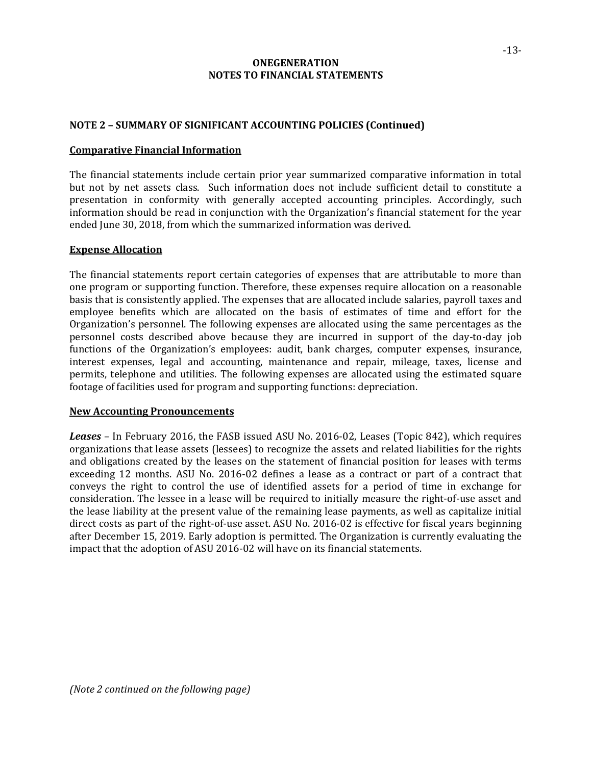# **NOTE 2 – SUMMARY OF SIGNIFICANT ACCOUNTING POLICIES (Continued)**

#### **Comparative Financial Information**

The financial statements include certain prior year summarized comparative information in total but not by net assets class. Such information does not include sufficient detail to constitute a presentation in conformity with generally accepted accounting principles. Accordingly, such information should be read in conjunction with the Organization's financial statement for the year ended June 30, 2018, from which the summarized information was derived.

## **Expense Allocation**

The financial statements report certain categories of expenses that are attributable to more than one program or supporting function. Therefore, these expenses require allocation on a reasonable basis that is consistently applied. The expenses that are allocated include salaries, payroll taxes and employee benefits which are allocated on the basis of estimates of time and effort for the Organization's personnel. The following expenses are allocated using the same percentages as the personnel costs described above because they are incurred in support of the day-to-day job functions of the Organization's employees: audit, bank charges, computer expenses, insurance, interest expenses, legal and accounting, maintenance and repair, mileage, taxes, license and permits, telephone and utilities. The following expenses are allocated using the estimated square footage of facilities used for program and supporting functions: depreciation.

## **New Accounting Pronouncements**

*Leases* – In February 2016, the FASB issued ASU No. 2016-02, Leases (Topic 842), which requires organizations that lease assets (lessees) to recognize the assets and related liabilities for the rights and obligations created by the leases on the statement of financial position for leases with terms exceeding 12 months. ASU No. 2016-02 defines a lease as a contract or part of a contract that conveys the right to control the use of identified assets for a period of time in exchange for consideration. The lessee in a lease will be required to initially measure the right-of-use asset and the lease liability at the present value of the remaining lease payments, as well as capitalize initial direct costs as part of the right-of-use asset. ASU No. 2016-02 is effective for fiscal years beginning after December 15, 2019. Early adoption is permitted. The Organization is currently evaluating the impact that the adoption of ASU 2016-02 will have on its financial statements.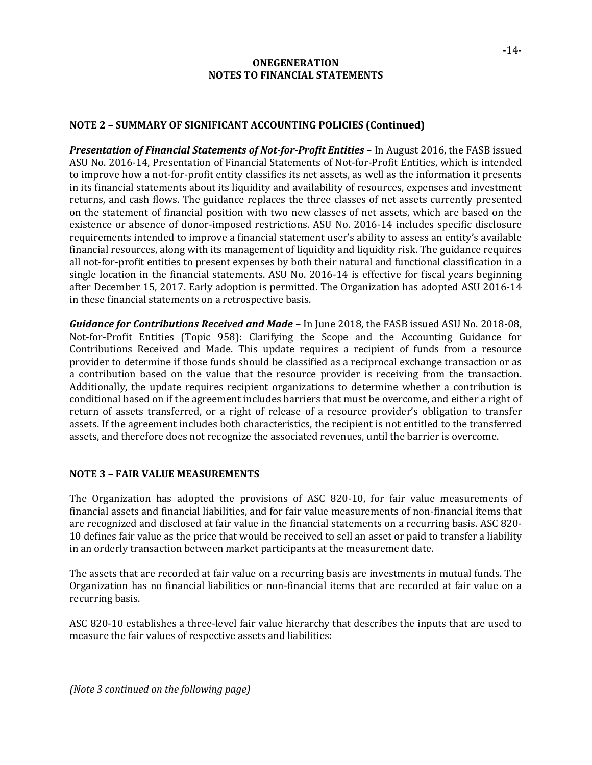## **NOTE 2 – SUMMARY OF SIGNIFICANT ACCOUNTING POLICIES (Continued)**

*Presentation of Financial Statements of Not‐for‐Profit Entities* – In August 2016, the FASB issued ASU No. 2016-14, Presentation of Financial Statements of Not-for-Profit Entities, which is intended to improve how a not-for-profit entity classifies its net assets, as well as the information it presents in its financial statements about its liquidity and availability of resources, expenses and investment returns, and cash flows. The guidance replaces the three classes of net assets currently presented on the statement of financial position with two new classes of net assets, which are based on the existence or absence of donor-imposed restrictions. ASU No. 2016-14 includes specific disclosure requirements intended to improve a financial statement user's ability to assess an entity's available financial resources, along with its management of liquidity and liquidity risk. The guidance requires all not-for-profit entities to present expenses by both their natural and functional classification in a single location in the financial statements. ASU No. 2016-14 is effective for fiscal years beginning after December 15, 2017. Early adoption is permitted. The Organization has adopted ASU 2016-14 in these financial statements on a retrospective basis.

*Guidance for Contributions Received and Made* – In June 2018, the FASB issued ASU No. 2018-08, Not-for-Profit Entities (Topic 958): Clarifying the Scope and the Accounting Guidance for Contributions Received and Made. This update requires a recipient of funds from a resource provider to determine if those funds should be classified as a reciprocal exchange transaction or as a contribution based on the value that the resource provider is receiving from the transaction. Additionally, the update requires recipient organizations to determine whether a contribution is conditional based on if the agreement includes barriers that must be overcome, and either a right of return of assets transferred, or a right of release of a resource provider's obligation to transfer assets. If the agreement includes both characteristics, the recipient is not entitled to the transferred assets, and therefore does not recognize the associated revenues, until the barrier is overcome.

## **NOTE 3 – FAIR VALUE MEASUREMENTS**

The Organization has adopted the provisions of ASC 820-10, for fair value measurements of financial assets and financial liabilities, and for fair value measurements of non-financial items that are recognized and disclosed at fair value in the financial statements on a recurring basis. ASC 820- 10 defines fair value as the price that would be received to sell an asset or paid to transfer a liability in an orderly transaction between market participants at the measurement date.

The assets that are recorded at fair value on a recurring basis are investments in mutual funds. The Organization has no financial liabilities or non-financial items that are recorded at fair value on a recurring basis.

ASC 820-10 establishes a three-level fair value hierarchy that describes the inputs that are used to measure the fair values of respective assets and liabilities: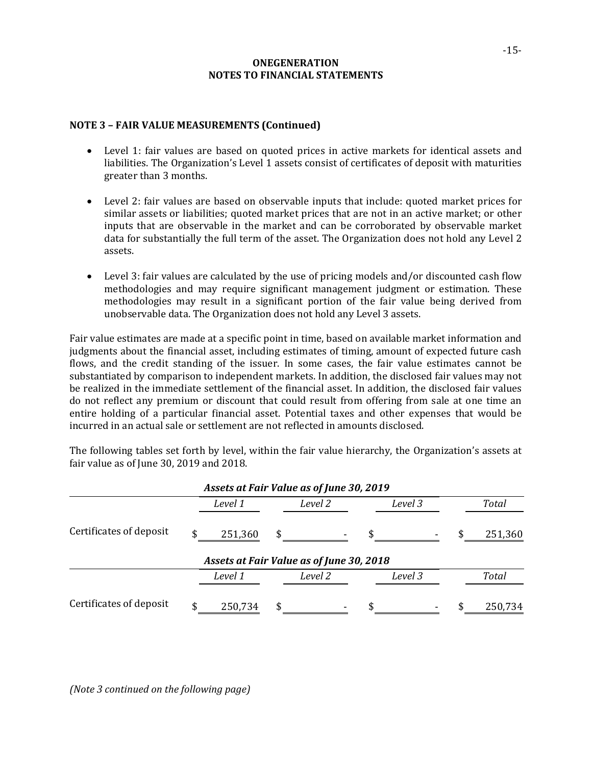#### **NOTE 3 – FAIR VALUE MEASUREMENTS (Continued)**

- Level 1: fair values are based on quoted prices in active markets for identical assets and liabilities. The Organization's Level 1 assets consist of certificates of deposit with maturities greater than 3 months.
- Level 2: fair values are based on observable inputs that include: quoted market prices for similar assets or liabilities; quoted market prices that are not in an active market; or other inputs that are observable in the market and can be corroborated by observable market data for substantially the full term of the asset. The Organization does not hold any Level 2 assets.
- Level 3: fair values are calculated by the use of pricing models and/or discounted cash flow methodologies and may require significant management judgment or estimation. These methodologies may result in a significant portion of the fair value being derived from unobservable data. The Organization does not hold any Level 3 assets.

Fair value estimates are made at a specific point in time, based on available market information and judgments about the financial asset, including estimates of timing, amount of expected future cash flows, and the credit standing of the issuer. In some cases, the fair value estimates cannot be substantiated by comparison to independent markets. In addition, the disclosed fair values may not be realized in the immediate settlement of the financial asset. In addition, the disclosed fair values do not reflect any premium or discount that could result from offering from sale at one time an entire holding of a particular financial asset. Potential taxes and other expenses that would be incurred in an actual sale or settlement are not reflected in amounts disclosed.

The following tables set forth by level, within the fair value hierarchy, the Organization's assets at fair value as of June 30, 2019 and 2018.

|                         |    |         |    | Assets at Fair Value as of June 30, 2019 |    |         |              |         |
|-------------------------|----|---------|----|------------------------------------------|----|---------|--------------|---------|
| Level 1                 |    | Level 2 |    | Level 3                                  |    |         | <b>Total</b> |         |
| Certificates of deposit | \$ | 251,360 | \$ |                                          | \$ |         |              | 251,360 |
|                         |    |         |    | Assets at Fair Value as of June 30, 2018 |    |         |              |         |
|                         |    | Level 1 |    | Level 2                                  |    | Level 3 |              | Total   |
| Certificates of deposit | \$ | 250,734 | \$ |                                          | \$ |         | S            | 250,734 |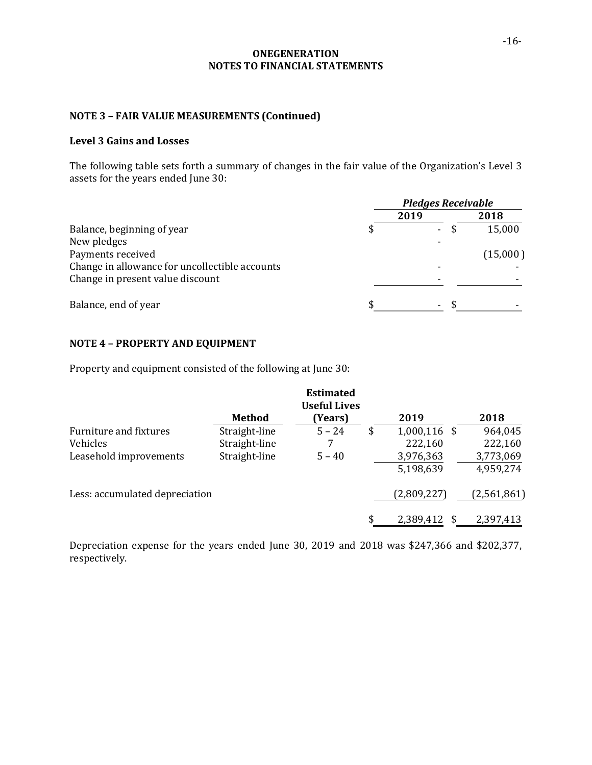## **NOTE 3 – FAIR VALUE MEASUREMENTS (Continued)**

# **Level 3 Gains and Losses**

The following table sets forth a summary of changes in the fair value of the Organization's Level 3 assets for the years ended June 30:

|                                                | <b>Pledges Receivable</b> |                |          |  |
|------------------------------------------------|---------------------------|----------------|----------|--|
|                                                |                           | 2019           | 2018     |  |
| Balance, beginning of year                     |                           | $\blacksquare$ | 15,000   |  |
| New pledges                                    |                           |                |          |  |
| Payments received                              |                           |                | (15,000) |  |
| Change in allowance for uncollectible accounts |                           |                |          |  |
| Change in present value discount               |                           |                |          |  |
| Balance, end of year                           |                           |                |          |  |

# **NOTE 4 – PROPERTY AND EQUIPMENT**

Property and equipment consisted of the following at June 30:

|                                |               | <b>Estimated</b><br><b>Useful Lives</b> |                    |             |
|--------------------------------|---------------|-----------------------------------------|--------------------|-------------|
|                                | Method        | (Years)                                 | 2019               | 2018        |
| Furniture and fixtures         | Straight-line | $5 - 24$                                | \$<br>1,000,116 \$ | 964,045     |
| Vehicles                       | Straight-line |                                         | 222,160            | 222,160     |
| Leasehold improvements         | Straight-line | $5 - 40$                                | 3,976,363          | 3,773,069   |
|                                |               |                                         | 5,198,639          | 4,959,274   |
| Less: accumulated depreciation |               |                                         | (2,809,227)        | (2,561,861) |
|                                |               |                                         | 2,389,412 \$       | 2,397,413   |

Depreciation expense for the years ended June 30, 2019 and 2018 was \$247,366 and \$202,377, respectively.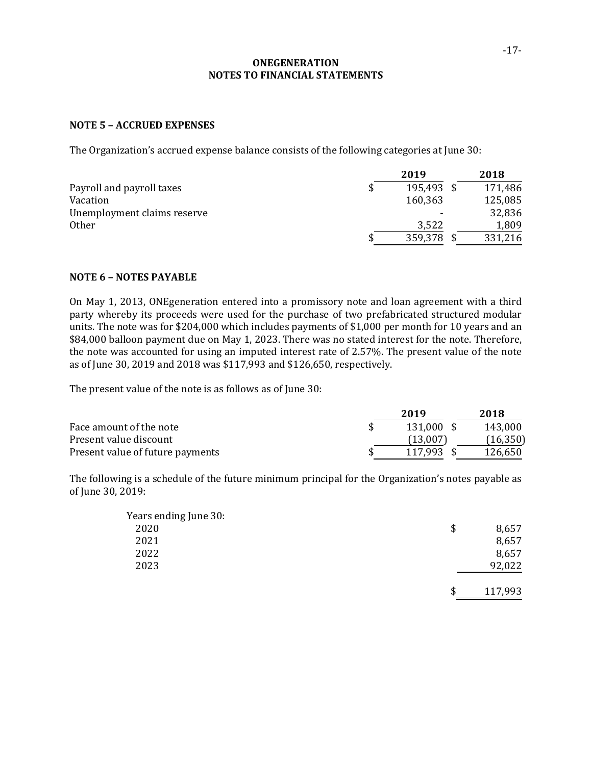#### **NOTE 5 – ACCRUED EXPENSES**

The Organization's accrued expense balance consists of the following categories at June 30:

|                             | 2019       | 2018    |
|-----------------------------|------------|---------|
| Payroll and payroll taxes   | 195,493 \$ | 171,486 |
| Vacation                    | 160,363    | 125,085 |
| Unemployment claims reserve |            | 32,836  |
| <b>Other</b>                | 3,522      | 1,809   |
|                             | 359,378    | 331,216 |

## **NOTE 6 – NOTES PAYABLE**

On May 1, 2013, ONEgeneration entered into a promissory note and loan agreement with a third party whereby its proceeds were used for the purchase of two prefabricated structured modular units. The note was for \$204,000 which includes payments of \$1,000 per month for 10 years and an \$84,000 balloon payment due on May 1, 2023. There was no stated interest for the note. Therefore, the note was accounted for using an imputed interest rate of 2.57%. The present value of the note as of June 30, 2019 and 2018 was \$117,993 and \$126,650, respectively.

The present value of the note is as follows as of June 30:

|                                  | 2019       | 2018      |
|----------------------------------|------------|-----------|
| Face amount of the note          | 131.000 \$ | 143,000   |
| Present value discount           | (13,007)   | (16, 350) |
| Present value of future payments | 117.993 \$ | 126,650   |

The following is a schedule of the future minimum principal for the Organization's notes payable as of June 30, 2019:

| Years ending June 30: |               |
|-----------------------|---------------|
| 2020                  | \$<br>8,657   |
| 2021                  | 8,657         |
| 2022                  | 8,657         |
| 2023                  | 92,022        |
|                       |               |
|                       | \$<br>117,993 |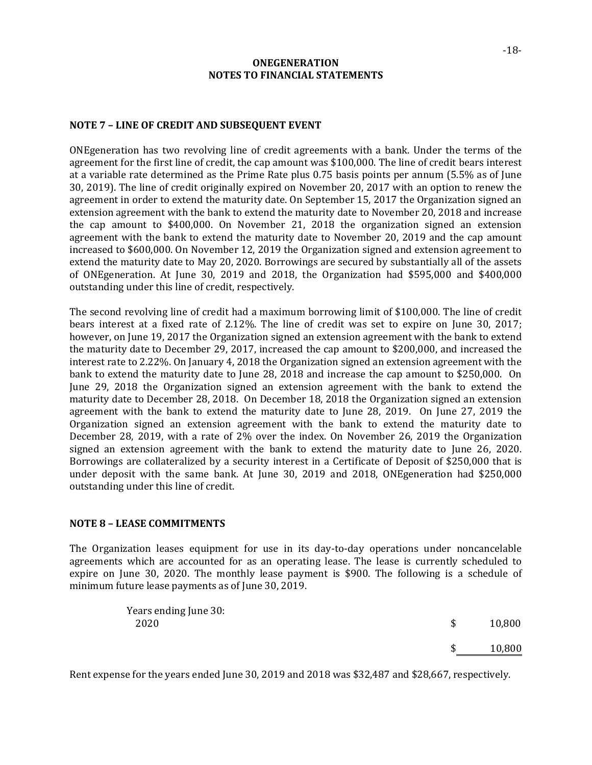#### **NOTE 7 – LINE OF CREDIT AND SUBSEQUENT EVENT**

ONEgeneration has two revolving line of credit agreements with a bank. Under the terms of the agreement for the first line of credit, the cap amount was \$100,000. The line of credit bears interest at a variable rate determined as the Prime Rate plus 0.75 basis points per annum (5.5% as of June 30, 2019). The line of credit originally expired on November 20, 2017 with an option to renew the agreement in order to extend the maturity date. On September 15, 2017 the Organization signed an extension agreement with the bank to extend the maturity date to November 20, 2018 and increase the cap amount to \$400,000. On November 21, 2018 the organization signed an extension agreement with the bank to extend the maturity date to November 20, 2019 and the cap amount increased to \$600,000. On November 12, 2019 the Organization signed and extension agreement to extend the maturity date to May 20, 2020. Borrowings are secured by substantially all of the assets of ONEgeneration. At June 30, 2019 and 2018, the Organization had \$595,000 and \$400,000 outstanding under this line of credit, respectively.

The second revolving line of credit had a maximum borrowing limit of \$100,000. The line of credit bears interest at a fixed rate of 2.12%. The line of credit was set to expire on June 30, 2017; however, on June 19, 2017 the Organization signed an extension agreement with the bank to extend the maturity date to December 29, 2017, increased the cap amount to \$200,000, and increased the interest rate to 2.22%. On January 4, 2018 the Organization signed an extension agreement with the bank to extend the maturity date to June 28, 2018 and increase the cap amount to \$250,000. On June 29, 2018 the Organization signed an extension agreement with the bank to extend the maturity date to December 28, 2018. On December 18, 2018 the Organization signed an extension agreement with the bank to extend the maturity date to June 28, 2019. On June 27, 2019 the Organization signed an extension agreement with the bank to extend the maturity date to December 28, 2019, with a rate of 2% over the index. On November 26, 2019 the Organization signed an extension agreement with the bank to extend the maturity date to June 26, 2020. Borrowings are collateralized by a security interest in a Certificate of Deposit of \$250,000 that is under deposit with the same bank. At June 30, 2019 and 2018, ONEgeneration had \$250,000 outstanding under this line of credit.

#### **NOTE 8 – LEASE COMMITMENTS**

The Organization leases equipment for use in its day-to-day operations under noncancelable agreements which are accounted for as an operating lease. The lease is currently scheduled to expire on June 30, 2020. The monthly lease payment is \$900. The following is a schedule of minimum future lease payments as of June 30, 2019.

| Years ending June 30: |    |        |
|-----------------------|----|--------|
| 2020                  | \$ | 10,800 |
|                       |    |        |
|                       | -S | 10,800 |
|                       |    |        |

Rent expense for the years ended June 30, 2019 and 2018 was \$32,487 and \$28,667, respectively.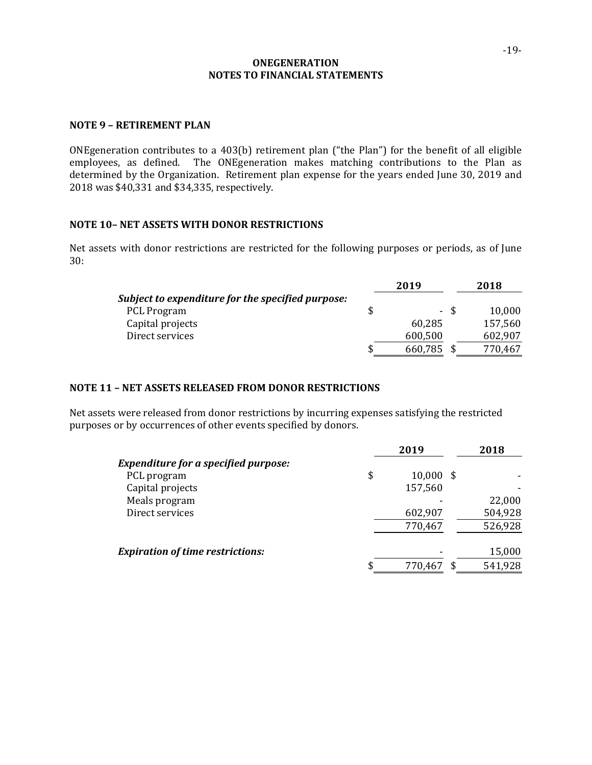# **NOTE 9 – RETIREMENT PLAN**

ONEgeneration contributes to a 403(b) retirement plan ("the Plan") for the benefit of all eligible employees, as defined. The ONEgeneration makes matching contributions to the Plan as determined by the Organization. Retirement plan expense for the years ended June 30, 2019 and 2018 was \$40,331 and \$34,335, respectively.

### **NOTE 10– NET ASSETS WITH DONOR RESTRICTIONS**

Net assets with donor restrictions are restricted for the following purposes or periods, as of June 30:

|                                                   | 2019    |      | 2018    |  |  |
|---------------------------------------------------|---------|------|---------|--|--|
| Subject to expenditure for the specified purpose: |         |      |         |  |  |
| <b>PCL Program</b>                                |         | - \$ | 10,000  |  |  |
| Capital projects                                  | 60.285  |      | 157,560 |  |  |
| Direct services                                   | 600,500 |      | 602,907 |  |  |
|                                                   | 660,785 |      | 770.467 |  |  |

## **NOTE 11 – NET ASSETS RELEASED FROM DONOR RESTRICTIONS**

Net assets were released from donor restrictions by incurring expenses satisfying the restricted purposes or by occurrences of other events specified by donors.

|                                             |    | 2018        |         |
|---------------------------------------------|----|-------------|---------|
| <b>Expenditure for a specified purpose:</b> |    |             |         |
| PCL program                                 | \$ | $10,000$ \$ |         |
| Capital projects                            |    | 157,560     |         |
| Meals program                               |    |             | 22,000  |
| Direct services                             |    | 602,907     | 504,928 |
|                                             |    | 770,467     | 526,928 |
| <b>Expiration of time restrictions:</b>     |    |             | 15,000  |
|                                             | \$ | 770,467     | 541,928 |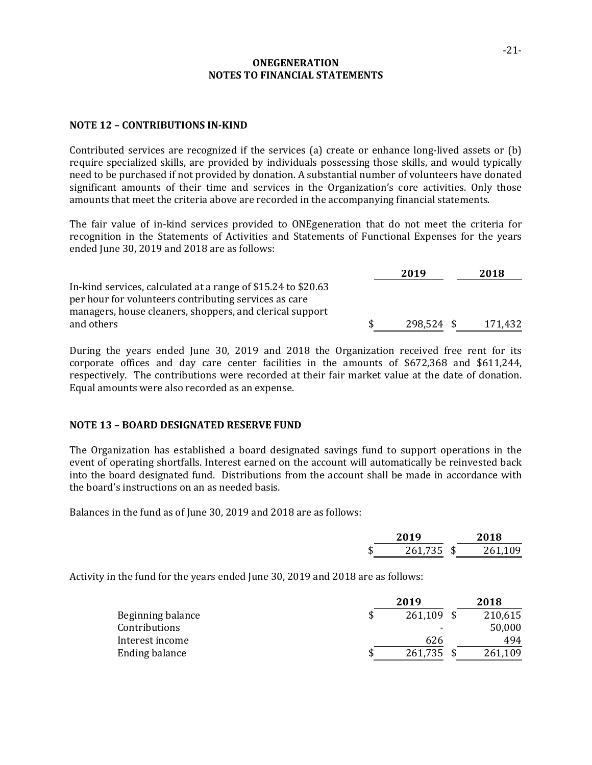#### **NOTE 12 – CONTRIBUTIONS IN‐KIND**

Contributed services are recognized if the services (a) create or enhance long-lived assets or (b) require specialized skills, are provided by individuals possessing those skills, and would typically need to be purchased if not provided by donation. A substantial number of volunteers have donated significant amounts of their time and services in the Organization's core activities. Only those amounts that meet the criteria above are recorded in the accompanying financial statements.

The fair value of in-kind services provided to ONEgeneration that do not meet the criteria for recognition in the Statements of Activities and Statements of Functional Expenses for the years ended June 30, 2019 and 2018 are as follows:

|                                                               | 2019       | 2018    |
|---------------------------------------------------------------|------------|---------|
| In-kind services, calculated at a range of \$15.24 to \$20.63 |            |         |
| per hour for volunteers contributing services as care         |            |         |
| managers, house cleaners, shoppers, and clerical support      |            |         |
| and others                                                    | 298,524 \$ | 171,432 |

During the years ended June 30, 2019 and 2018 the Organization received free rent for its corporate offices and day care center facilities in the amounts of \$672,368 and \$611,244, respectively. The contributions were recorded at their fair market value at the date of donation. Equal amounts were also recorded as an expense.

## **NOTE 13 – BOARD DESIGNATED RESERVE FUND**

The Organization has established a board designated savings fund to support operations in the event of operating shortfalls. Interest earned on the account will automatically be reinvested back into the board designated fund. Distributions from the account shall be made in accordance with the board's instructions on an as needed basis.

Balances in the fund as of June 30, 2019 and 2018 are as follows:

|    | 2019         | 2018    |  |  |
|----|--------------|---------|--|--|
| ыD | $261,735$ \$ | 261,109 |  |  |

Activity in the fund for the years ended June 30, 2019 and 2018 are as follows:

|                   | 2019       |  |         |  |  |
|-------------------|------------|--|---------|--|--|
| Beginning balance | 261,109 \$ |  | 210,615 |  |  |
| Contributions     |            |  | 50,000  |  |  |
| Interest income   | 626        |  | 494     |  |  |
| Ending balance    | 261,735    |  | 261,109 |  |  |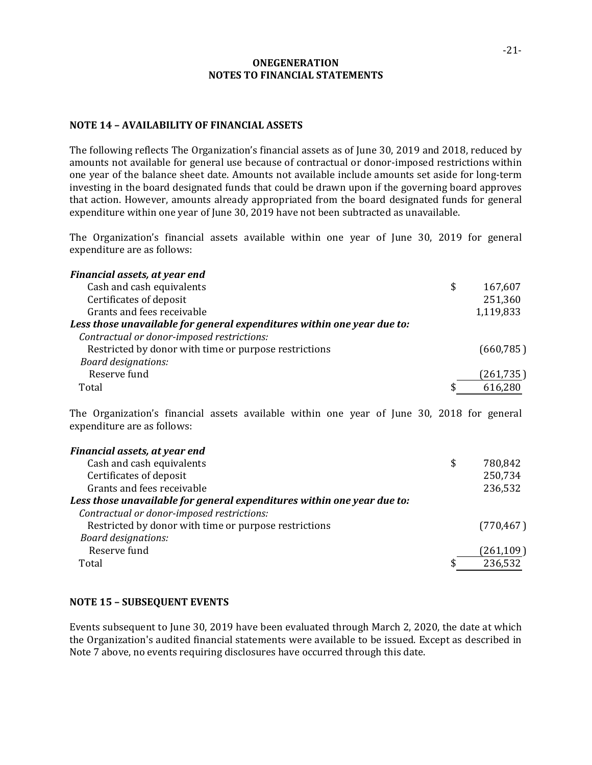#### **NOTE 14 – AVAILABILITY OF FINANCIAL ASSETS**

The following reflects The Organization's financial assets as of June 30, 2019 and 2018, reduced by amounts not available for general use because of contractual or donor-imposed restrictions within one year of the balance sheet date. Amounts not available include amounts set aside for long-term investing in the board designated funds that could be drawn upon if the governing board approves that action. However, amounts already appropriated from the board designated funds for general expenditure within one year of June 30, 2019 have not been subtracted as unavailable.

The Organization's financial assets available within one year of June 30, 2019 for general expenditure are as follows:

| Financial assets, at year end                                           |               |
|-------------------------------------------------------------------------|---------------|
| Cash and cash equivalents                                               | \$<br>167,607 |
| Certificates of deposit                                                 | 251,360       |
| Grants and fees receivable                                              | 1,119,833     |
| Less those unavailable for general expenditures within one year due to: |               |
| Contractual or donor-imposed restrictions:                              |               |
| Restricted by donor with time or purpose restrictions                   | (660, 785)    |
| <b>Board designations:</b>                                              |               |
| Reserve fund                                                            | (261, 735)    |
| Total                                                                   | 616,280       |

The Organization's financial assets available within one year of June 30, 2018 for general expenditure are as follows:

| Financial assets, at year end                                           |               |
|-------------------------------------------------------------------------|---------------|
| Cash and cash equivalents                                               | \$<br>780,842 |
| Certificates of deposit                                                 | 250,734       |
| Grants and fees receivable                                              | 236,532       |
| Less those unavailable for general expenditures within one year due to: |               |
| Contractual or donor-imposed restrictions:                              |               |
| Restricted by donor with time or purpose restrictions                   | (770, 467)    |
| <b>Board designations:</b>                                              |               |
| Reserve fund                                                            | (261,109)     |
| Total                                                                   | 236,532       |

#### **NOTE 15 – SUBSEQUENT EVENTS**

Events subsequent to June 30, 2019 have been evaluated through March 2, 2020, the date at which the Organization's audited financial statements were available to be issued. Except as described in Note 7 above, no events requiring disclosures have occurred through this date.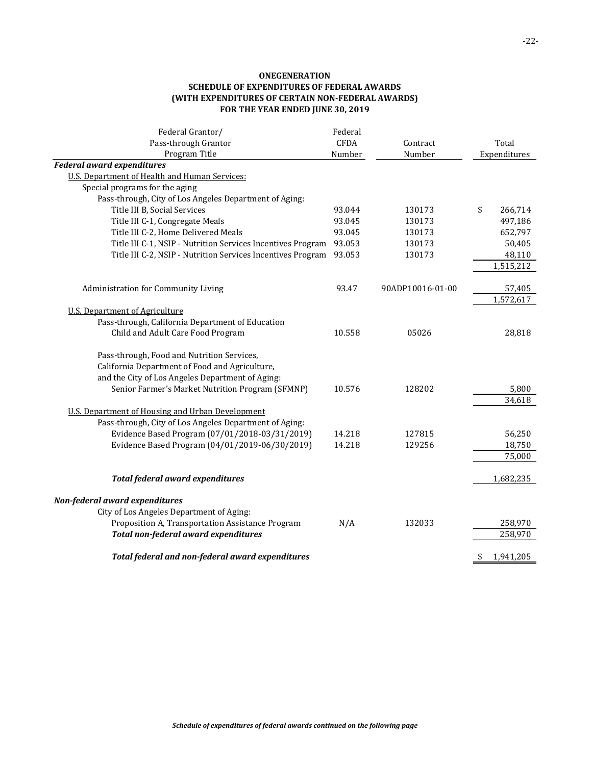#### **ONEGENERATION SCHEDULE OF EXPENDITURES OF FEDERAL AWARDS FOR THE YEAR ENDED JUNE 30, 2019 (WITH EXPENDITURES OF CERTAIN NON‐FEDERAL AWARDS)**

| Federal Grantor/                                            | Federal     |                  |                 |  |  |
|-------------------------------------------------------------|-------------|------------------|-----------------|--|--|
| Pass-through Grantor                                        | <b>CFDA</b> | Contract         | Total           |  |  |
| Program Title                                               | Number      | Number           | Expenditures    |  |  |
| <b>Federal award expenditures</b>                           |             |                  |                 |  |  |
| <b>U.S. Department of Health and Human Services:</b>        |             |                  |                 |  |  |
| Special programs for the aging                              |             |                  |                 |  |  |
| Pass-through, City of Los Angeles Department of Aging:      |             |                  |                 |  |  |
| Title III B, Social Services                                | 93.044      | 130173           | \$<br>266,714   |  |  |
| Title III C-1, Congregate Meals                             | 93.045      | 130173           | 497,186         |  |  |
| Title III C-2, Home Delivered Meals                         | 93.045      | 130173           | 652,797         |  |  |
| Title III C-1, NSIP - Nutrition Services Incentives Program | 93.053      | 130173           | 50,405          |  |  |
| Title III C-2, NSIP - Nutrition Services Incentives Program | 93.053      | 130173           | 48,110          |  |  |
|                                                             |             |                  | 1,515,212       |  |  |
| Administration for Community Living                         | 93.47       | 90ADP10016-01-00 | 57,405          |  |  |
|                                                             |             |                  | 1,572,617       |  |  |
| <b>U.S. Department of Agriculture</b>                       |             |                  |                 |  |  |
| Pass-through, California Department of Education            |             |                  |                 |  |  |
| Child and Adult Care Food Program                           | 10.558      | 05026            | 28,818          |  |  |
|                                                             |             |                  |                 |  |  |
| Pass-through, Food and Nutrition Services,                  |             |                  |                 |  |  |
| California Department of Food and Agriculture,              |             |                  |                 |  |  |
| and the City of Los Angeles Department of Aging:            |             |                  |                 |  |  |
| Senior Farmer's Market Nutrition Program (SFMNP)            | 10.576      | 128202           | 5,800           |  |  |
|                                                             |             |                  | 34,618          |  |  |
| <b>U.S. Department of Housing and Urban Development</b>     |             |                  |                 |  |  |
| Pass-through, City of Los Angeles Department of Aging:      |             |                  |                 |  |  |
| Evidence Based Program (07/01/2018-03/31/2019)              | 14.218      | 127815           | 56,250          |  |  |
| Evidence Based Program (04/01/2019-06/30/2019)              | 14.218      | 129256           | 18,750          |  |  |
|                                                             |             |                  | 75,000          |  |  |
| <b>Total federal award expenditures</b>                     |             |                  | 1,682,235       |  |  |
|                                                             |             |                  |                 |  |  |
| Non-federal award expenditures                              |             |                  |                 |  |  |
| City of Los Angeles Department of Aging:                    |             |                  |                 |  |  |
| Proposition A, Transportation Assistance Program            | N/A         | 132033           | 258,970         |  |  |
| Total non-federal award expenditures                        |             |                  | 258,970         |  |  |
| Total federal and non-federal award expenditures            |             |                  | 1,941,205<br>\$ |  |  |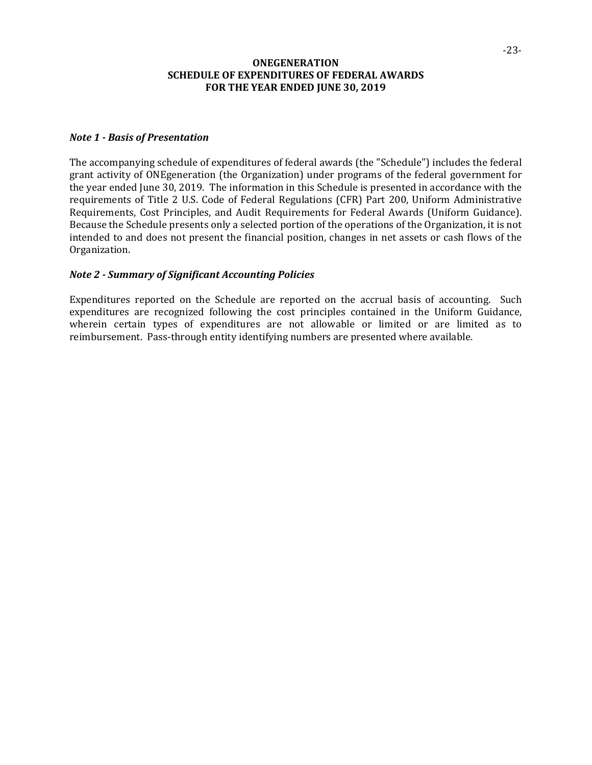#### **ONEGENERATION SCHEDULE OF EXPENDITURES OF FEDERAL AWARDS FOR THE YEAR ENDED JUNE 30, 2019**

#### *Note 1 ‐ Basis of Presentation*

The accompanying schedule of expenditures of federal awards (the "Schedule") includes the federal grant activity of ONEgeneration (the Organization) under programs of the federal government for the year ended June 30, 2019. The information in this Schedule is presented in accordance with the requirements of Title 2 U.S. Code of Federal Regulations (CFR) Part 200, Uniform Administrative Requirements, Cost Principles, and Audit Requirements for Federal Awards (Uniform Guidance). Because the Schedule presents only a selected portion of the operations of the Organization, it is not intended to and does not present the financial position, changes in net assets or cash flows of the Organization.

#### *Note 2 ‐ Summary of Significant Accounting Policies*

Expenditures reported on the Schedule are reported on the accrual basis of accounting. Such expenditures are recognized following the cost principles contained in the Uniform Guidance, wherein certain types of expenditures are not allowable or limited or are limited as to reimbursement. Pass-through entity identifying numbers are presented where available.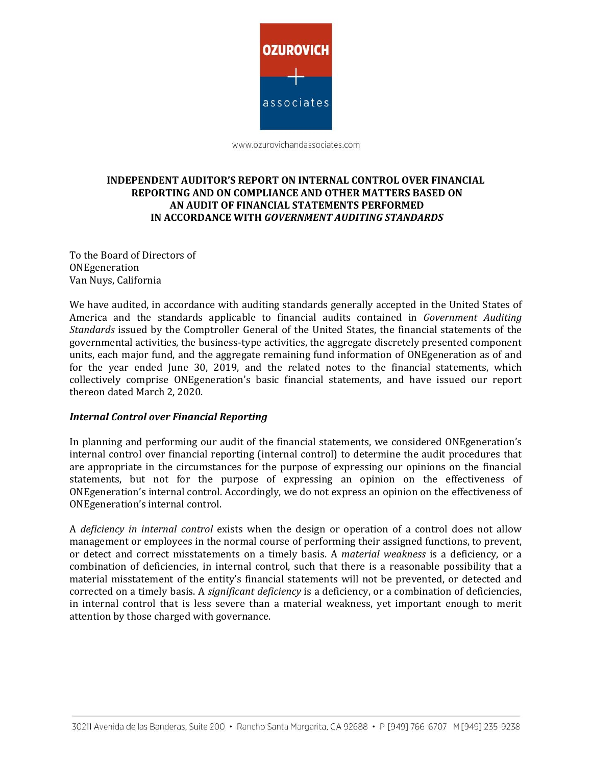

www.ozurovichandassociates.com

# **INDEPENDENT AUDITOR'S REPORT ON INTERNAL CONTROL OVER FINANCIAL REPORTING AND ON COMPLIANCE AND OTHER MATTERS BASED ON AN AUDIT OF FINANCIAL STATEMENTS PERFORMED IN ACCORDANCE WITH** *GOVERNMENT AUDITING STANDARDS*

To the Board of Directors of **ONEgeneration** Van Nuys, California

We have audited, in accordance with auditing standards generally accepted in the United States of America and the standards applicable to financial audits contained in *Government Auditing Standards* issued by the Comptroller General of the United States, the financial statements of the governmental activities, the business-type activities, the aggregate discretely presented component units, each major fund, and the aggregate remaining fund information of ONEgeneration as of and for the year ended June 30, 2019, and the related notes to the financial statements, which collectively comprise ONEgeneration's basic financial statements, and have issued our report thereon dated March 2, 2020.

# *Internal Control over Financial Reporting*

In planning and performing our audit of the financial statements, we considered ONEgeneration's internal control over financial reporting (internal control) to determine the audit procedures that are appropriate in the circumstances for the purpose of expressing our opinions on the financial statements, but not for the purpose of expressing an opinion on the effectiveness of ONEgeneration's internal control. Accordingly, we do not express an opinion on the effectiveness of ONEgeneration's internal control.

A *deficiency in internal control* exists when the design or operation of a control does not allow management or employees in the normal course of performing their assigned functions, to prevent, or detect and correct misstatements on a timely basis. A *material weakness* is a deficiency, or a combination of deficiencies, in internal control, such that there is a reasonable possibility that a material misstatement of the entity's financial statements will not be prevented, or detected and corrected on a timely basis. A *significant deficiency* is a deficiency, or a combination of deficiencies, in internal control that is less severe than a material weakness, yet important enough to merit attention by those charged with governance.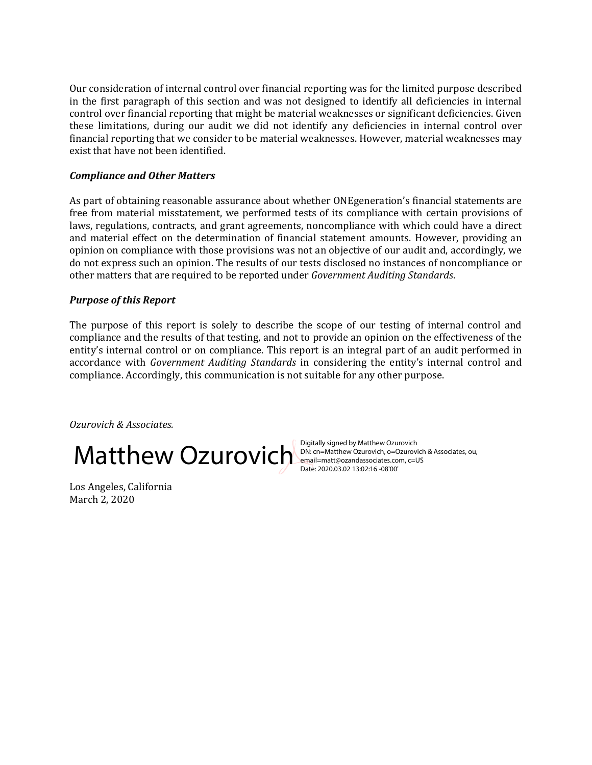Our consideration of internal control over financial reporting was for the limited purpose described in the first paragraph of this section and was not designed to identify all deficiencies in internal control over financial reporting that might be material weaknesses or significant deficiencies. Given these limitations, during our audit we did not identify any deficiencies in internal control over financial reporting that we consider to be material weaknesses. However, material weaknesses may exist that have not been identified.

# *Compliance and Other Matters*

As part of obtaining reasonable assurance about whether ONEgeneration's financial statements are free from material misstatement, we performed tests of its compliance with certain provisions of laws, regulations, contracts, and grant agreements, noncompliance with which could have a direct and material effect on the determination of financial statement amounts. However, providing an opinion on compliance with those provisions was not an objective of our audit and, accordingly, we do not express such an opinion. The results of our tests disclosed no instances of noncompliance or other matters that are required to be reported under *Government Auditing Standards*.

# *Purpose of this Report*

The purpose of this report is solely to describe the scope of our testing of internal control and compliance and the results of that testing, and not to provide an opinion on the effectiveness of the entity's internal control or on compliance. This report is an integral part of an audit performed in accordance with *Government Auditing Standards* in considering the entity's internal control and compliance. Accordingly, this communication is not suitable for any other purpose.

*Ozurovich & Associates.*



DN: cn=Matthew Ozurovich, o=Ozurovich & Associates, ou, email=matt@ozandassociates.com, c=US Date: 2020.03.02 13:02:16 -08'00'

Los Angeles, California March 2, 2020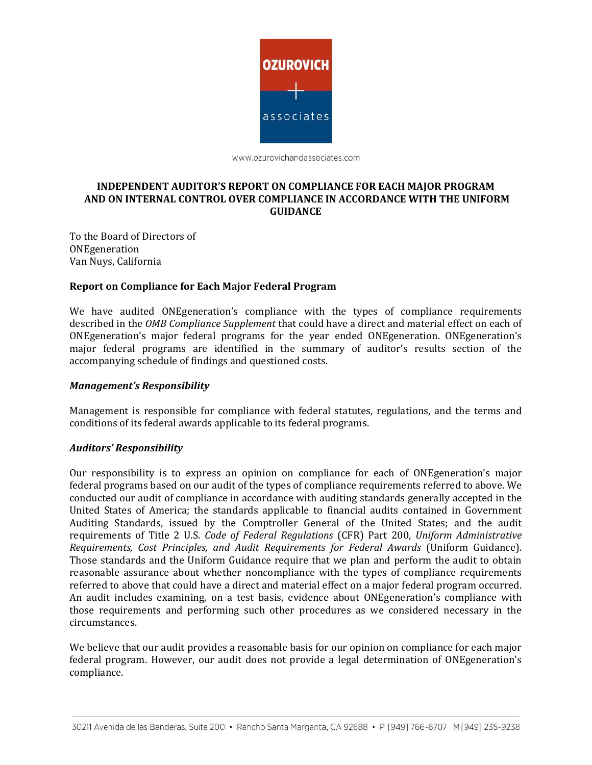

www.ozurovichandassociates.com

# **INDEPENDENT AUDITOR'S REPORT ON COMPLIANCE FOR EACH MAJOR PROGRAM AND ON INTERNAL CONTROL OVER COMPLIANCE IN ACCORDANCE WITH THE UNIFORM GUIDANCE**

To the Board of Directors of **ONEgeneration** Van Nuys, California

# **Report on Compliance for Each Major Federal Program**

We have audited ONEgeneration's compliance with the types of compliance requirements described in the *OMB Compliance Supplement* that could have a direct and material effect on each of ONEgeneration's major federal programs for the year ended ONEgeneration. ONEgeneration's major federal programs are identified in the summary of auditor's results section of the accompanying schedule of findings and questioned costs.

## *Management's Responsibility*

Management is responsible for compliance with federal statutes, regulations, and the terms and conditions of its federal awards applicable to its federal programs.

## *Auditors' Responsibility*

Our responsibility is to express an opinion on compliance for each of ONEgeneration's major federal programs based on our audit of the types of compliance requirements referred to above. We conducted our audit of compliance in accordance with auditing standards generally accepted in the United States of America; the standards applicable to financial audits contained in Government Auditing Standards, issued by the Comptroller General of the United States; and the audit requirements of Title 2 U.S. *Code of Federal Regulations* (CFR) Part 200, *Uniform Administrative Requirements, Cost Principles, and Audit Requirements for Federal Awards* (Uniform Guidance). Those standards and the Uniform Guidance require that we plan and perform the audit to obtain reasonable assurance about whether noncompliance with the types of compliance requirements referred to above that could have a direct and material effect on a major federal program occurred. An audit includes examining, on a test basis, evidence about ONEgeneration's compliance with those requirements and performing such other procedures as we considered necessary in the circumstances.

We believe that our audit provides a reasonable basis for our opinion on compliance for each major federal program. However, our audit does not provide a legal determination of ONEgeneration's compliance.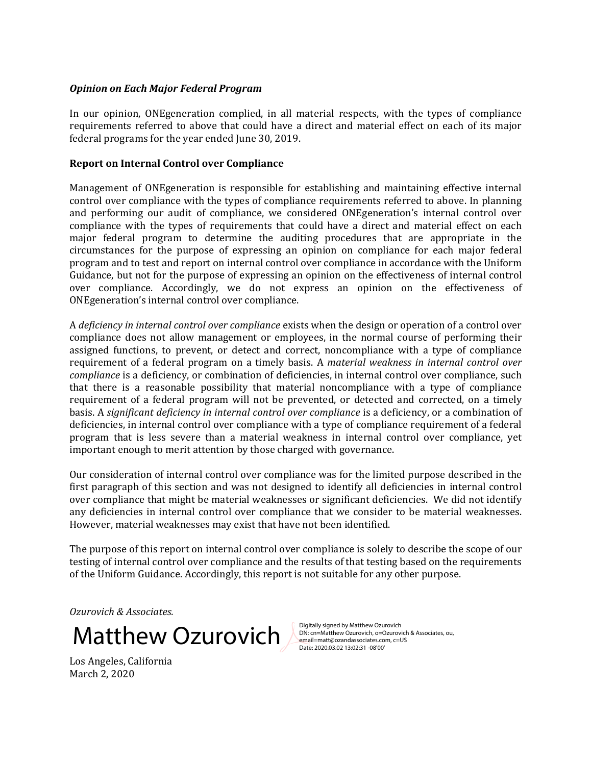# *Opinion on Each Major Federal Program*

In our opinion, ONEgeneration complied, in all material respects, with the types of compliance requirements referred to above that could have a direct and material effect on each of its major federal programs for the year ended June 30, 2019.

# **Report on Internal Control over Compliance**

Management of ONEgeneration is responsible for establishing and maintaining effective internal control over compliance with the types of compliance requirements referred to above. In planning and performing our audit of compliance, we considered ONEgeneration's internal control over compliance with the types of requirements that could have a direct and material effect on each major federal program to determine the auditing procedures that are appropriate in the circumstances for the purpose of expressing an opinion on compliance for each major federal program and to test and report on internal control over compliance in accordance with the Uniform Guidance, but not for the purpose of expressing an opinion on the effectiveness of internal control over compliance. Accordingly, we do not express an opinion on the effectiveness of ONEgeneration's internal control over compliance.

A *deficiency in internal control over compliance* exists when the design or operation of a control over compliance does not allow management or employees, in the normal course of performing their assigned functions, to prevent, or detect and correct, noncompliance with a type of compliance requirement of a federal program on a timely basis. A *material weakness in internal control over compliance* is a deficiency, or combination of deficiencies, in internal control over compliance, such that there is a reasonable possibility that material noncompliance with a type of compliance requirement of a federal program will not be prevented, or detected and corrected, on a timely basis. A *significant deficiency in internal control over compliance* is a deficiency, or a combination of deficiencies, in internal control over compliance with a type of compliance requirement of a federal program that is less severe than a material weakness in internal control over compliance, yet important enough to merit attention by those charged with governance.

Our consideration of internal control over compliance was for the limited purpose described in the first paragraph of this section and was not designed to identify all deficiencies in internal control over compliance that might be material weaknesses or significant deficiencies. We did not identify any deficiencies in internal control over compliance that we consider to be material weaknesses. However, material weaknesses may exist that have not been identified.

The purpose of this report on internal control over compliance is solely to describe the scope of our testing of internal control over compliance and the results of that testing based on the requirements of the Uniform Guidance. Accordingly, this report is not suitable for any other purpose.

*Ozurovich & Associates.*

Matthew Ozurovich Digitally signed by Matthew Ozurovich **Matthew Ozurovich** 

DN: cn=Matthew Ozurovich, o=Ozurovich & Associates, ou, email=matt@ozandassociates.com, c=US Date: 2020.03.02 13:02:31 -08'00'

Los Angeles, California March 2, 2020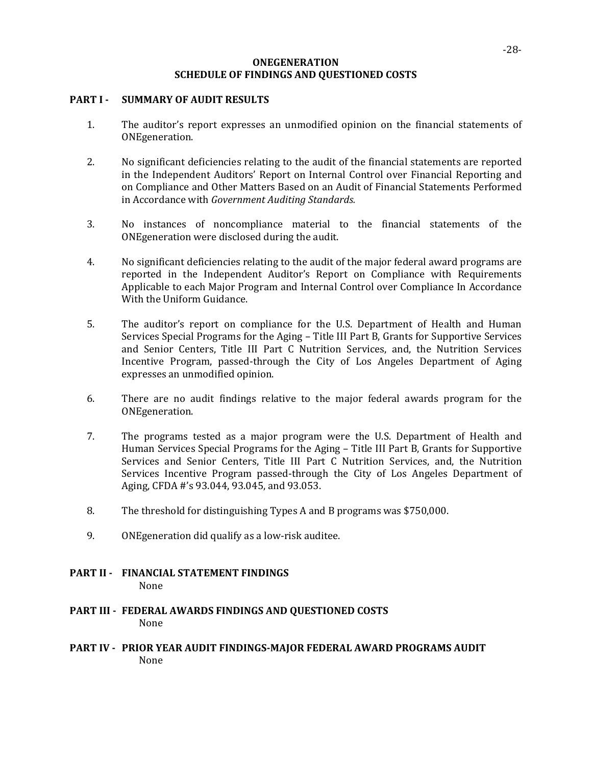#### **ONEGENERATION SCHEDULE OF FINDINGS AND QUESTIONED COSTS**

#### **PART I ‐ SUMMARY OF AUDIT RESULTS**

- 1. The auditor's report expresses an unmodified opinion on the financial statements of ONEgeneration.
- 2. No significant deficiencies relating to the audit of the financial statements are reported in the Independent Auditors' Report on Internal Control over Financial Reporting and on Compliance and Other Matters Based on an Audit of Financial Statements Performed in Accordance with *Government Auditing Standards.*
- 3. No instances of noncompliance material to the financial statements of the ONEgeneration were disclosed during the audit.
- 4. No significant deficiencies relating to the audit of the major federal award programs are reported in the Independent Auditor's Report on Compliance with Requirements Applicable to each Major Program and Internal Control over Compliance In Accordance With the Uniform Guidance.
- 5. The auditor's report on compliance for the U.S. Department of Health and Human Services Special Programs for the Aging – Title III Part B, Grants for Supportive Services and Senior Centers, Title III Part C Nutrition Services, and, the Nutrition Services Incentive Program, passed-through the City of Los Angeles Department of Aging expresses an unmodified opinion.
- 6. There are no audit findings relative to the major federal awards program for the ONEgeneration.
- 7. The programs tested as a major program were the U.S. Department of Health and Human Services Special Programs for the Aging – Title III Part B, Grants for Supportive Services and Senior Centers, Title III Part C Nutrition Services, and, the Nutrition Services Incentive Program passed-through the City of Los Angeles Department of Aging, CFDA #'s 93.044, 93.045, and 93.053.
- 8. The threshold for distinguishing Types A and B programs was \$750,000.
- 9. ONEgeneration did qualify as a low-risk auditee.
- **PART II ‐ FINANCIAL STATEMENT FINDINGS** None
- **PART III ‐ FEDERAL AWARDS FINDINGS AND QUESTIONED COSTS** None
- **PART IV ‐ PRIOR YEAR AUDIT FINDINGS‐MAJOR FEDERAL AWARD PROGRAMS AUDIT** None